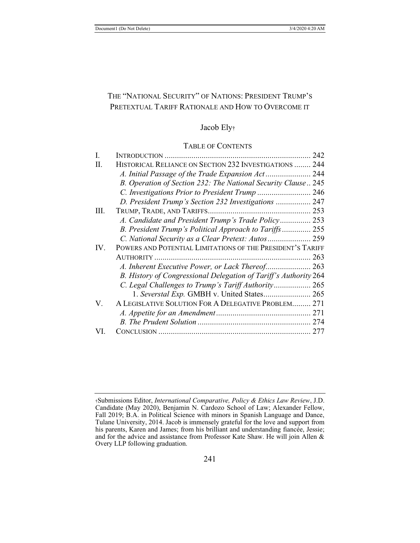# THE "NATIONAL SECURITY" OF NATIONS: PRESIDENT TRUMP'S PRETEXTUAL TARIFF RATIONALE AND HOW TO OVERCOME IT

## Jacob Ely†

#### TABLE OF CONTENTS

| Ι.   |                                                                  | 242 |
|------|------------------------------------------------------------------|-----|
| H.   | HISTORICAL RELIANCE ON SECTION 232 INVESTIGATIONS  244           |     |
|      | A. Initial Passage of the Trade Expansion Act 244                |     |
|      | B. Operation of Section 232: The National Security Clause 245    |     |
|      | C. Investigations Prior to President Trump  246                  |     |
|      | D. President Trump's Section 232 Investigations  247             |     |
| III. |                                                                  |     |
|      | A. Candidate and President Trump's Trade Policy 253              |     |
|      | B. President Trump's Political Approach to Tariffs 255           |     |
|      | C. National Security as a Clear Pretext: Autos 259               |     |
| IV.  | POWERS AND POTENTIAL LIMITATIONS OF THE PRESIDENT'S TARIFF       |     |
|      |                                                                  | 263 |
|      |                                                                  |     |
|      | B. History of Congressional Delegation of Tariff's Authority 264 |     |
|      | C. Legal Challenges to Trump's Tariff Authority 265              |     |
|      | 1. Severstal Exp. GMBH v. United States 265                      |     |
| V.   | A LEGISLATIVE SOLUTION FOR A DELEGATIVE PROBLEM 271              |     |
|      |                                                                  |     |
|      |                                                                  |     |
|      |                                                                  |     |

<sup>†</sup>Submissions Editor, *International Comparative, Policy & Ethics Law Review*, J.D. Candidate (May 2020), Benjamin N. Cardozo School of Law; Alexander Fellow, Fall 2019; B.A. in Political Science with minors in Spanish Language and Dance, Tulane University, 2014. Jacob is immensely grateful for the love and support from his parents, Karen and James; from his brilliant and understanding fiancée, Jessie; and for the advice and assistance from Professor Kate Shaw. He will join Allen & Overy LLP following graduation.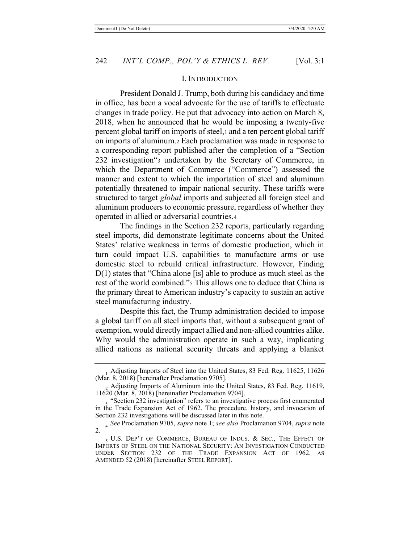### I. INTRODUCTION

President Donald J. Trump, both during his candidacy and time in office, has been a vocal advocate for the use of tariffs to effectuate changes in trade policy. He put that advocacy into action on March 8, 2018, when he announced that he would be imposing a twenty-five percent global tariff on imports of steel,1 and a ten percent global tariff on imports of aluminum.2 Each proclamation was made in response to a corresponding report published after the completion of a "Section 232 investigation"3 undertaken by the Secretary of Commerce, in which the Department of Commerce ("Commerce") assessed the manner and extent to which the importation of steel and aluminum potentially threatened to impair national security. These tariffs were structured to target *global* imports and subjected all foreign steel and aluminum producers to economic pressure, regardless of whether they operated in allied or adversarial countries.4

The findings in the Section 232 reports, particularly regarding steel imports, did demonstrate legitimate concerns about the United States' relative weakness in terms of domestic production, which in turn could impact U.S. capabilities to manufacture arms or use domestic steel to rebuild critical infrastructure. However, Finding D(1) states that "China alone [is] able to produce as much steel as the rest of the world combined."5 This allows one to deduce that China is the primary threat to American industry's capacity to sustain an active steel manufacturing industry.

Despite this fact, the Trump administration decided to impose a global tariff on all steel imports that, without a subsequent grant of exemption, would directly impact allied and non-allied countries alike. Why would the administration operate in such a way, implicating allied nations as national security threats and applying a blanket

<sup>&</sup>lt;sub>1</sub> Adjusting Imports of Steel into the United States, 83 Fed. Reg. 11625, 11626 (Mar. 8, 2018) [hereinafter Proclamation 9705].

<sup>2</sup> Adjusting Imports of Aluminum into the United States, 83 Fed. Reg. 11619, 11620 (Mar. 8, 2018) [hereinafter Proclamation 9704].

<sup>&</sup>quot;Section 232 investigation" refers to an investigative process first enumerated in the Trade Expansion Act of 1962. The procedure, history, and invocation of Section 232 investigations will be discussed later in this note.

<sup>4</sup> *See* Proclamation 9705, *supra* note 1; *see also* Proclamation 9704, *supra* note 2.

<sup>5</sup> U.S. DEP'T OF COMMERCE, BUREAU OF INDUS. & SEC., THE EFFECT OF IMPORTS OF STEEL ON THE NATIONAL SECURITY: AN INVESTIGATION CONDUCTED UNDER SECTION 232 OF THE TRADE EXPANSION ACT OF 1962, AS AMENDED 52 (2018) [hereinafter STEEL REPORT].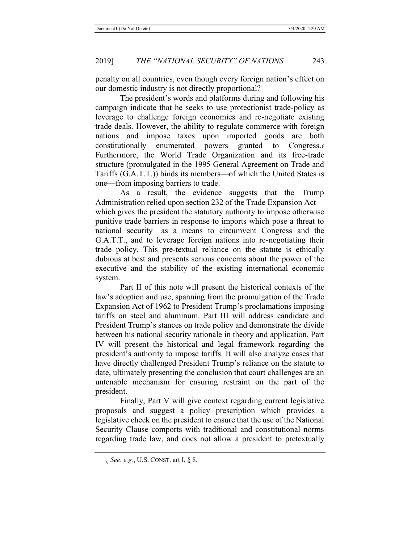penalty on all countries, even though every foreign nation's effect on our domestic industry is not directly proportional?

The president's words and platforms during and following his campaign indicate that he seeks to use protectionist trade-policy as leverage to challenge foreign economies and re-negotiate existing trade deals. However, the ability to regulate commerce with foreign nations and impose taxes upon imported goods are both constitutionally enumerated powers granted to Congress.6 Furthermore, the World Trade Organization and its free-trade structure (promulgated in the 1995 General Agreement on Trade and Tariffs (G.A.T.T.)) binds its members—of which the United States is one—from imposing barriers to trade.

As a result, the evidence suggests that the Trump Administration relied upon section 232 of the Trade Expansion Act which gives the president the statutory authority to impose otherwise punitive trade barriers in response to imports which pose a threat to national security—as a means to circumvent Congress and the G.A.T.T., and to leverage foreign nations into re-negotiating their trade policy. This pre-textual reliance on the statute is ethically dubious at best and presents serious concerns about the power of the executive and the stability of the existing international economic system.

Part II of this note will present the historical contexts of the law's adoption and use, spanning from the promulgation of the Trade Expansion Act of 1962 to President Trump's proclamations imposing tariffs on steel and aluminum. Part III will address candidate and President Trump's stances on trade policy and demonstrate the divide between his national security rationale in theory and application. Part IV will present the historical and legal framework regarding the president's authority to impose tariffs. It will also analyze cases that have directly challenged President Trump's reliance on the statute to date, ultimately presenting the conclusion that court challenges are an untenable mechanism for ensuring restraint on the part of the president.

Finally, Part V will give context regarding current legislative proposals and suggest a policy prescription which provides a legislative check on the president to ensure that the use of the National Security Clause comports with traditional and constitutional norms regarding trade law, and does not allow a president to pretextually

<sup>6</sup> *See*, *e.g.*, U.S. CONST. art I, § 8.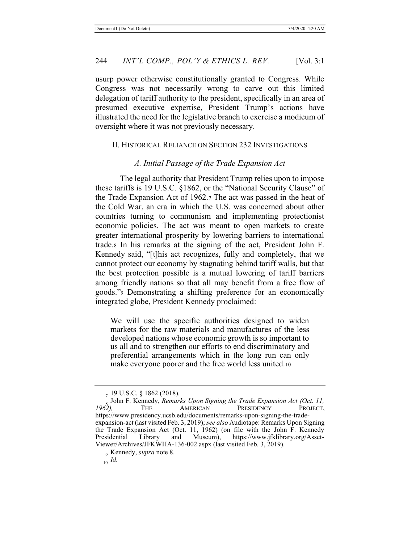usurp power otherwise constitutionally granted to Congress. While Congress was not necessarily wrong to carve out this limited delegation of tariff authority to the president, specifically in an area of presumed executive expertise, President Trump's actions have illustrated the need for the legislative branch to exercise a modicum of oversight where it was not previously necessary.

#### II. HISTORICAL RELIANCE ON SECTION 232 INVESTIGATIONS

### *A. Initial Passage of the Trade Expansion Act*

The legal authority that President Trump relies upon to impose these tariffs is 19 U.S.C. §1862, or the "National Security Clause" of the Trade Expansion Act of 1962.7 The act was passed in the heat of the Cold War, an era in which the U.S. was concerned about other countries turning to communism and implementing protectionist economic policies. The act was meant to open markets to create greater international prosperity by lowering barriers to international trade.8 In his remarks at the signing of the act, President John F. Kennedy said, "[t]his act recognizes, fully and completely, that we cannot protect our economy by stagnating behind tariff walls, but that the best protection possible is a mutual lowering of tariff barriers among friendly nations so that all may benefit from a free flow of goods."9 Demonstrating a shifting preference for an economically integrated globe, President Kennedy proclaimed:

We will use the specific authorities designed to widen markets for the raw materials and manufactures of the less developed nations whose economic growth is so important to us all and to strengthen our efforts to end discriminatory and preferential arrangements which in the long run can only make everyone poorer and the free world less united.10

<sup>7 19</sup> U.S.C. § 1862 (2018).

<sup>&</sup>lt;sup>8</sup> John F. Kennedy, *Remarks Upon Signing the Trade Expansion Act (Oct. 11, 1962)*. The **AMERICAN** PRESIDENCY PROJECT, PRESIDENCY https://www.presidency.ucsb.edu/documents/remarks-upon-signing-the-tradeexpansion-act (last visited Feb. 3, 2019); *see also* Audiotape: Remarks Upon Signing the Trade Expansion Act (Oct. 11, 1962) (on file with the John F. Kennedy Presidential Library and Museum), https://www.jfklibrary.org/Assetand Museum), https://www.jfklibrary.org/Asset-Viewer/Archives/JFKWHA-136-002.aspx (last visited Feb. 3, 2019).

<sup>9</sup> Kennedy, *supra* note 8.

<sup>10</sup> *Id.*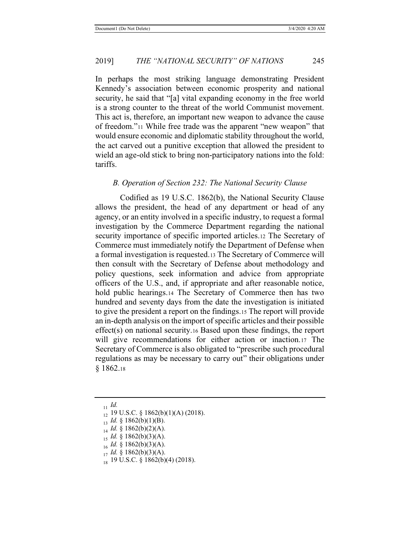In perhaps the most striking language demonstrating President Kennedy's association between economic prosperity and national security, he said that "[a] vital expanding economy in the free world is a strong counter to the threat of the world Communist movement. This act is, therefore, an important new weapon to advance the cause of freedom."11 While free trade was the apparent "new weapon" that would ensure economic and diplomatic stability throughout the world, the act carved out a punitive exception that allowed the president to wield an age-old stick to bring non-participatory nations into the fold: tariffs.

#### *B. Operation of Section 232: The National Security Clause*

Codified as 19 U.S.C. 1862(b), the National Security Clause allows the president, the head of any department or head of any agency, or an entity involved in a specific industry, to request a formal investigation by the Commerce Department regarding the national security importance of specific imported articles.12 The Secretary of Commerce must immediately notify the Department of Defense when a formal investigation is requested.13 The Secretary of Commerce will then consult with the Secretary of Defense about methodology and policy questions, seek information and advice from appropriate officers of the U.S., and, if appropriate and after reasonable notice, hold public hearings.<sup>14</sup> The Secretary of Commerce then has two hundred and seventy days from the date the investigation is initiated to give the president a report on the findings.15 The report will provide an in-depth analysis on the import of specific articles and their possible effect(s) on national security.16 Based upon these findings, the report will give recommendations for either action or inaction.17 The Secretary of Commerce is also obligated to "prescribe such procedural regulations as may be necessary to carry out" their obligations under § 1862.18

- <sup>14</sup> *Id.* § 1862(b)(2)(A).
- <sup>15</sup> *Id.* § 1862(b)(3)(A).
- $Id. \S$  1862(b)(3)(A).
- <sup>17</sup> *Id.* § 1862(b)(3)(A).
- 18 19 U.S.C. § 1862(b)(4) (2018).

<sup>11</sup> *Id.*

<sup>12 19</sup> U.S.C. § 1862(b)(1)(A) (2018).

 $13$  *Id.* § 1862(b)(1)(B).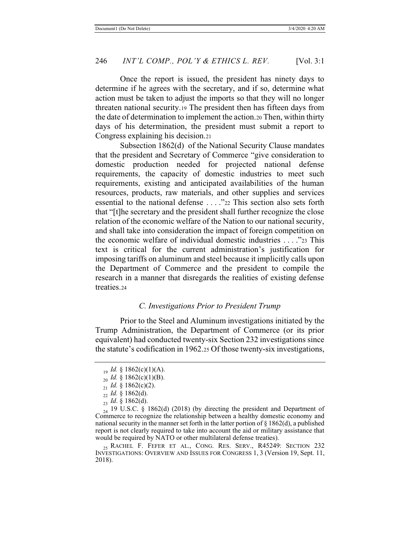Once the report is issued, the president has ninety days to determine if he agrees with the secretary, and if so, determine what action must be taken to adjust the imports so that they will no longer threaten national security.19 The president then has fifteen days from the date of determination to implement the action.20 Then, within thirty days of his determination, the president must submit a report to Congress explaining his decision.21

Subsection 1862(d) of the National Security Clause mandates that the president and Secretary of Commerce "give consideration to domestic production needed for projected national defense requirements, the capacity of domestic industries to meet such requirements, existing and anticipated availabilities of the human resources, products, raw materials, and other supplies and services essential to the national defense . . . ."22 This section also sets forth that "[t]he secretary and the president shall further recognize the close relation of the economic welfare of the Nation to our national security, and shall take into consideration the impact of foreign competition on the economic welfare of individual domestic industries . . . ."23 This text is critical for the current administration's justification for imposing tariffs on aluminum and steel because it implicitly calls upon the Department of Commerce and the president to compile the research in a manner that disregards the realities of existing defense treaties.24

### *C. Investigations Prior to President Trump*

Prior to the Steel and Aluminum investigations initiated by the Trump Administration, the Department of Commerce (or its prior equivalent) had conducted twenty-six Section 232 investigations since the statute's codification in 1962.25 Of those twenty-six investigations,

 $I_1$ <sup>0</sup> *Id.* § 1862(c)(1)(A).

 $_{20}$  *Id.* § 1862(c)(1)(B).

 $_{21}$  *Id.* § 1862(c)(2).

<sup>22</sup> *Id.* § 1862(d).

<sup>23</sup> *Id*. § 1862(d).

 $_{24}$  19 U.S.C. § 1862(d) (2018) (by directing the president and Department of Commerce to recognize the relationship between a healthy domestic economy and national security in the manner set forth in the latter portion of § 1862(d), a published report is not clearly required to take into account the aid or military assistance that would be required by NATO or other multilateral defense treaties).

<sup>&</sup>lt;sub>25</sub> RACHEL F. FEFER ET AL., CONG. RES. SERV., R45249: SECTION 232 INVESTIGATIONS: OVERVIEW AND ISSUES FOR CONGRESS 1, 3 (Version 19, Sept. 11, 2018).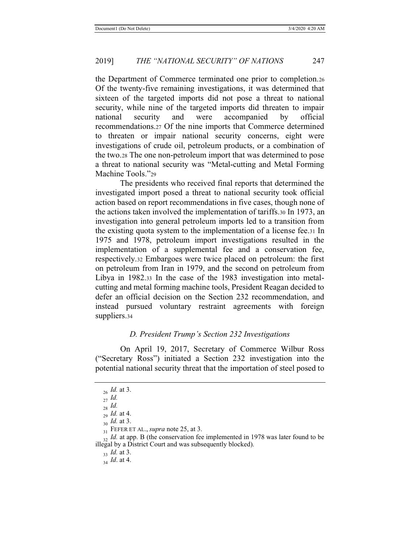the Department of Commerce terminated one prior to completion.26 Of the twenty-five remaining investigations, it was determined that sixteen of the targeted imports did not pose a threat to national security, while nine of the targeted imports did threaten to impair national security and were accompanied by official recommendations.27 Of the nine imports that Commerce determined to threaten or impair national security concerns, eight were investigations of crude oil, petroleum products, or a combination of the two.28 The one non-petroleum import that was determined to pose a threat to national security was "Metal-cutting and Metal Forming Machine Tools."29

The presidents who received final reports that determined the investigated import posed a threat to national security took official action based on report recommendations in five cases, though none of the actions taken involved the implementation of tariffs.30 In 1973, an investigation into general petroleum imports led to a transition from the existing quota system to the implementation of a license fee.31 In 1975 and 1978, petroleum import investigations resulted in the implementation of a supplemental fee and a conservation fee, respectively.32 Embargoes were twice placed on petroleum: the first on petroleum from Iran in 1979, and the second on petroleum from Libya in 1982.33 In the case of the 1983 investigation into metalcutting and metal forming machine tools, President Reagan decided to defer an official decision on the Section 232 recommendation, and instead pursued voluntary restraint agreements with foreign suppliers.34

#### *D. President Trump's Section 232 Investigations*

 On April 19, 2017, Secretary of Commerce Wilbur Ross ("Secretary Ross") initiated a Section 232 investigation into the potential national security threat that the importation of steel posed to

<sup>26</sup> *Id.* at 3.

<sup>27</sup> *Id.*

<sup>28</sup> *Id.*

 $\int_{29}^{9}$  *Id.* at 4.

<sup>30</sup> *Id.* at 3.

<sup>31</sup> FEFER ET AL., *supra* note 25, at 3.

<sup>&</sup>lt;sup>32</sup> *Id.* at app. B (the conservation fee implemented in 1978 was later found to be illegal by a District Court and was subsequently blocked).

<sup>33</sup> *Id.* at 3.

<sup>34</sup> *Id*. at 4.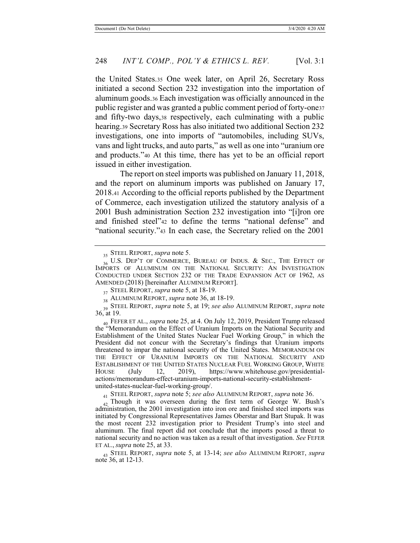the United States.35 One week later, on April 26, Secretary Ross initiated a second Section 232 investigation into the importation of aluminum goods.36 Each investigation was officially announced in the public register and was granted a public comment period of forty-one37 and fifty-two days,38 respectively, each culminating with a public hearing.39 Secretary Ross has also initiated two additional Section 232 investigations, one into imports of "automobiles, including SUVs, vans and light trucks, and auto parts," as well as one into "uranium ore and products."40 At this time, there has yet to be an official report issued in either investigation.

The report on steel imports was published on January 11, 2018, and the report on aluminum imports was published on January 17, 2018.41 According to the official reports published by the Department of Commerce, each investigation utilized the statutory analysis of a 2001 Bush administration Section 232 investigation into "[i]ron ore and finished steel"42 to define the terms "national defense" and "national security."43 In each case, the Secretary relied on the 2001

<sup>43</sup> STEEL REPORT, *supra* note 5, at 13-14; *see also* ALUMINUM REPORT, *supra* note 36, at 12-13.

<sup>35</sup> STEEL REPORT, *supra* note 5.

 $_{36}$  U.S. Dep't of COMMERCE, BUREAU OF INDUS. & Sec., The Effect of IMPORTS OF ALUMINUM ON THE NATIONAL SECURITY: AN INVESTIGATION CONDUCTED UNDER SECTION 232 OF THE TRADE EXPANSION ACT OF 1962, AS AMENDED (2018) [hereinafter ALUMINUM REPORT].

<sup>37</sup> STEEL REPORT, *supra* note 5, at 18-19.

<sup>38</sup> ALUMINUM REPORT, *supra* note 36, at 18-19.

<sup>39</sup> STEEL REPORT, *supra* note 5, at 19; *see also* ALUMINUM REPORT, *supra* note 36, at 19.

<sup>40</sup> FEFER ET AL., *supra* note 25, at 4. On July 12, 2019, President Trump released the "Memorandum on the Effect of Uranium Imports on the National Security and Establishment of the United States Nuclear Fuel Working Group," in which the President did not concur with the Secretary's findings that Uranium imports threatened to impar the national security of the United States. MEMORANDUM ON THE EFFECT OF URANIUM IMPORTS ON THE NATIONAL SECURITY AND ESTABLISHMENT OF THE UNITED STATES NUCLEAR FUEL WORKING GROUP, WHITE HOUSE (July 12, 2019), https://www.whitehouse.gov/presidentialactions/memorandum-effect-uranium-imports-national-security-establishmentunited-states-nuclear-fuel-working-group/.

<sup>41</sup> STEEL REPORT, *supra* note 5; *see also* ALUMINUM REPORT, *supra* note 36.

<sup>&</sup>lt;sub>42</sub> Though it was overseen during the first term of George W. Bush's administration, the 2001 investigation into iron ore and finished steel imports was initiated by Congressional Representatives James Oberstar and Bart Stupak. It was the most recent 232 investigation prior to President Trump's into steel and aluminum. The final report did not conclude that the imports posed a threat to national security and no action was taken as a result of that investigation. *See* FEFER ET AL., *supra* note 25, at 33.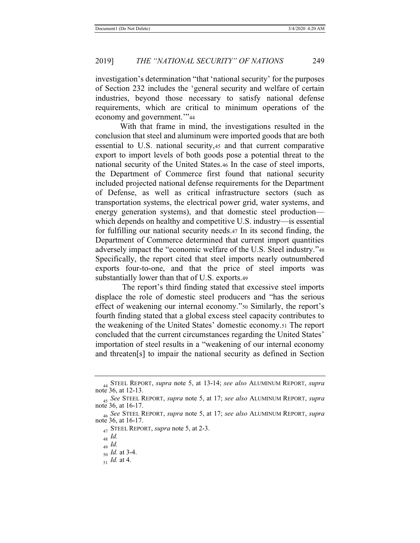investigation's determination "that 'national security' for the purposes of Section 232 includes the 'general security and welfare of certain industries, beyond those necessary to satisfy national defense requirements, which are critical to minimum operations of the economy and government.'"<sup>44</sup>

 With that frame in mind, the investigations resulted in the conclusion that steel and aluminum were imported goods that are both essential to U.S. national security,45 and that current comparative export to import levels of both goods pose a potential threat to the national security of the United States.46 In the case of steel imports, the Department of Commerce first found that national security included projected national defense requirements for the Department of Defense, as well as critical infrastructure sectors (such as transportation systems, the electrical power grid, water systems, and energy generation systems), and that domestic steel production which depends on healthy and competitive U.S. industry—is essential for fulfilling our national security needs.47 In its second finding, the Department of Commerce determined that current import quantities adversely impact the "economic welfare of the U.S. Steel industry."<sup>48</sup> Specifically, the report cited that steel imports nearly outnumbered exports four-to-one, and that the price of steel imports was substantially lower than that of U.S. exports.49

 The report's third finding stated that excessive steel imports displace the role of domestic steel producers and "has the serious effect of weakening our internal economy."50 Similarly, the report's fourth finding stated that a global excess steel capacity contributes to the weakening of the United States' domestic economy.51 The report concluded that the current circumstances regarding the United States' importation of steel results in a "weakening of our internal economy and threaten[s] to impair the national security as defined in Section

51 *Id.* at 4.

<sup>44</sup> STEEL REPORT, *supra* note 5, at 13-14; *see also* ALUMINUM REPORT, *supra* note 36, at 12-13.

<sup>45</sup> *See* STEEL REPORT, *supra* note 5, at 17; *see also* ALUMINUM REPORT, *supra* note 36, at 16-17.

<sup>46</sup> *See* STEEL REPORT, *supra* note 5, at 17; *see also* ALUMINUM REPORT, *supra* note 36, at 16-17.

<sup>47</sup> STEEL REPORT, *supra* note 5, at 2-3.

<sup>48</sup> *Id.*

<sup>49</sup> *Id.*

<sup>50</sup> *Id.* at 3-4.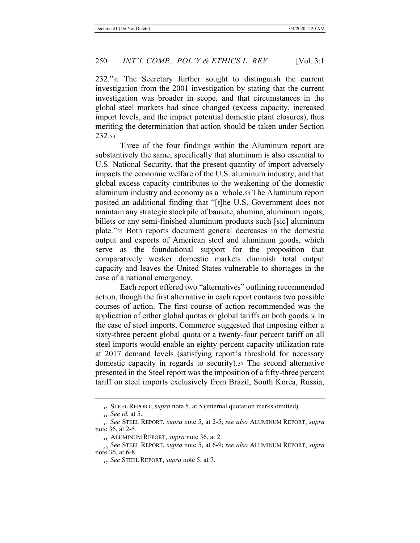232."52 The Secretary further sought to distinguish the current investigation from the 2001 investigation by stating that the current investigation was broader in scope, and that circumstances in the global steel markets had since changed (excess capacity, increased import levels, and the impact potential domestic plant closures), thus meriting the determination that action should be taken under Section 232.53

Three of the four findings within the Aluminum report are substantively the same, specifically that aluminum is also essential to U.S. National Security, that the present quantity of import adversely impacts the economic welfare of the U.S. aluminum industry, and that global excess capacity contributes to the weakening of the domestic aluminum industry and economy as a whole.54 The Aluminum report posited an additional finding that "[t]he U.S. Government does not maintain any strategic stockpile of bauxite, alumina, aluminum ingots, billets or any semi-finished aluminum products such [sic] aluminum plate."55 Both reports document general decreases in the domestic output and exports of American steel and aluminum goods, which serve as the foundational support for the proposition that comparatively weaker domestic markets diminish total output capacity and leaves the United States vulnerable to shortages in the case of a national emergency.

Each report offered two "alternatives" outlining recommended action, though the first alternative in each report contains two possible courses of action. The first course of action recommended was the application of either global quotas or global tariffs on both goods.56 In the case of steel imports, Commerce suggested that imposing either a sixty-three percent global quota or a twenty-four percent tariff on all steel imports would enable an eighty-percent capacity utilization rate at 2017 demand levels (satisfying report's threshold for necessary domestic capacity in regards to security).57 The second alternative presented in the Steel report was the imposition of a fifty-three percent tariff on steel imports exclusively from Brazil, South Korea, Russia,

<sup>52</sup> STEEL REPORT, *supra* note 5, at 5 (internal quotation marks omitted).

<sup>53</sup> *See id.* at 5.

<sup>54</sup> *See* STEEL REPORT, *supra* note 5, at 2-5; *see also* ALUMINUM REPORT, *supra* note 36, at 2-5.

<sup>55</sup> ALUMINUM REPORT, *supra* note 36, at 2.

<sup>56</sup> *See* STEEL REPORT, *supra* note 5, at 6-9; *see also* ALUMINUM REPORT, *supra* note 36, at 6-8.

<sup>57</sup> *See* STEEL REPORT, *supra* note 5, at 7.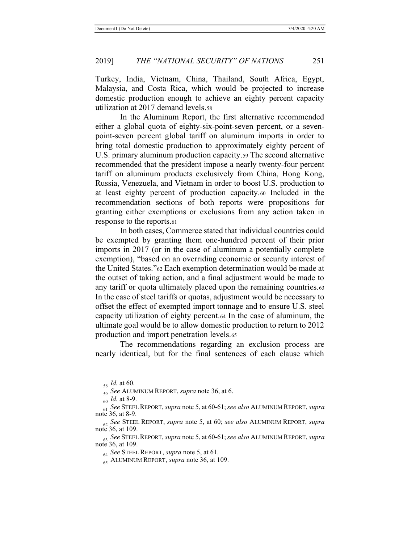Turkey, India, Vietnam, China, Thailand, South Africa, Egypt, Malaysia, and Costa Rica, which would be projected to increase domestic production enough to achieve an eighty percent capacity utilization at 2017 demand levels.58

In the Aluminum Report, the first alternative recommended either a global quota of eighty-six-point-seven percent, or a sevenpoint-seven percent global tariff on aluminum imports in order to bring total domestic production to approximately eighty percent of U.S. primary aluminum production capacity.59 The second alternative recommended that the president impose a nearly twenty-four percent tariff on aluminum products exclusively from China, Hong Kong, Russia, Venezuela, and Vietnam in order to boost U.S. production to at least eighty percent of production capacity.60 Included in the recommendation sections of both reports were propositions for granting either exemptions or exclusions from any action taken in response to the reports.61

In both cases, Commerce stated that individual countries could be exempted by granting them one-hundred percent of their prior imports in 2017 (or in the case of aluminum a potentially complete exemption), "based on an overriding economic or security interest of the United States."62 Each exemption determination would be made at the outset of taking action, and a final adjustment would be made to any tariff or quota ultimately placed upon the remaining countries.63 In the case of steel tariffs or quotas, adjustment would be necessary to offset the effect of exempted import tonnage and to ensure U.S. steel capacity utilization of eighty percent.64 In the case of aluminum, the ultimate goal would be to allow domestic production to return to 2012 production and import penetration levels.65

The recommendations regarding an exclusion process are nearly identical, but for the final sentences of each clause which

<sup>58</sup> *Id.* at 60.

<sup>59</sup> *See* ALUMINUM REPORT, *supra* note 36, at 6.

<sup>60</sup> *Id.* at 8-9.

<sup>61</sup> *See* STEEL REPORT, *supra* note 5, at 60-61; *see also* ALUMINUM REPORT, *supra* note 36, at 8-9.

<sup>62</sup> *See* STEEL REPORT, *supra* note 5, at 60; *see also* ALUMINUM REPORT, *supra* note 36, at 109.

<sup>63</sup> *See* STEEL REPORT, *supra* note 5, at 60-61; *see also* ALUMINUM REPORT, *supra* note 36, at 109.

<sup>64</sup> *See* STEEL REPORT, *supra* note 5, at 61.

<sup>65</sup> ALUMINUM REPORT, *supra* note 36, at 109.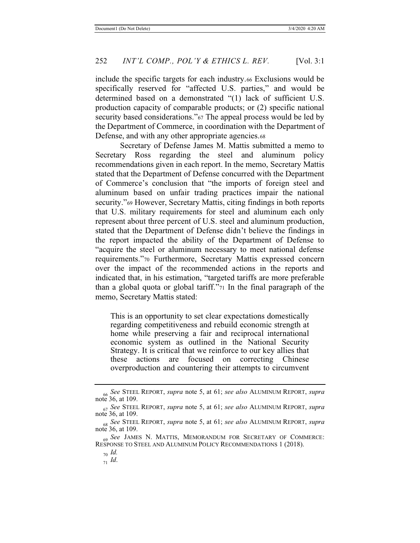include the specific targets for each industry.66 Exclusions would be specifically reserved for "affected U.S. parties," and would be determined based on a demonstrated "(1) lack of sufficient U.S. production capacity of comparable products; or (2) specific national security based considerations."<sup>67</sup> The appeal process would be led by the Department of Commerce, in coordination with the Department of Defense, and with any other appropriate agencies.68

Secretary of Defense James M. Mattis submitted a memo to Secretary Ross regarding the steel and aluminum policy recommendations given in each report. In the memo, Secretary Mattis stated that the Department of Defense concurred with the Department of Commerce's conclusion that "the imports of foreign steel and aluminum based on unfair trading practices impair the national security."69 However, Secretary Mattis, citing findings in both reports that U.S. military requirements for steel and aluminum each only represent about three percent of U.S. steel and aluminum production, stated that the Department of Defense didn't believe the findings in the report impacted the ability of the Department of Defense to "acquire the steel or aluminum necessary to meet national defense requirements."70 Furthermore, Secretary Mattis expressed concern over the impact of the recommended actions in the reports and indicated that, in his estimation, "targeted tariffs are more preferable than a global quota or global tariff."71 In the final paragraph of the memo, Secretary Mattis stated:

This is an opportunity to set clear expectations domestically regarding competitiveness and rebuild economic strength at home while preserving a fair and reciprocal international economic system as outlined in the National Security Strategy. It is critical that we reinforce to our key allies that these actions are focused on correcting Chinese overproduction and countering their attempts to circumvent

<sup>66</sup> *See* STEEL REPORT, *supra* note 5, at 61; *see also* ALUMINUM REPORT, *supra* note 36, at 109.

<sup>67</sup> *See* STEEL REPORT, *supra* note 5, at 61; *see also* ALUMINUM REPORT, *supra* note 36, at 109.

<sup>68</sup> *See* STEEL REPORT, *supra* note 5, at 61; *see also* ALUMINUM REPORT, *supra* note 36, at 109.

<sup>69</sup> *See* JAMES N. MATTIS, MEMORANDUM FOR SECRETARY OF COMMERCE: RESPONSE TO STEEL AND ALUMINUM POLICY RECOMMENDATIONS 1 (2018).

<sup>70</sup> *Id.*

<sup>71</sup> *Id*.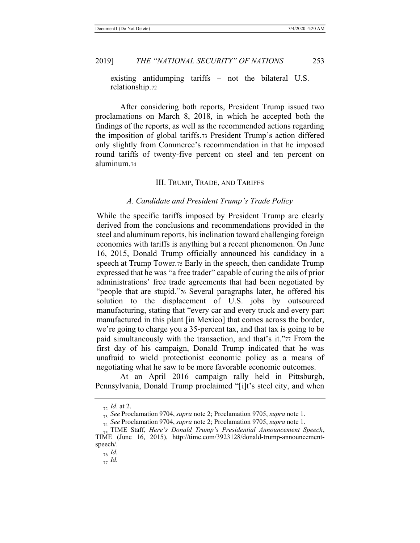existing antidumping tariffs – not the bilateral U.S. relationship.72

After considering both reports, President Trump issued two proclamations on March 8, 2018, in which he accepted both the findings of the reports, as well as the recommended actions regarding the imposition of global tariffs.73 President Trump's action differed only slightly from Commerce's recommendation in that he imposed round tariffs of twenty-five percent on steel and ten percent on aluminum.74

#### III. TRUMP, TRADE, AND TARIFFS

#### *A. Candidate and President Trump's Trade Policy*

While the specific tariffs imposed by President Trump are clearly derived from the conclusions and recommendations provided in the steel and aluminum reports, his inclination toward challenging foreign economies with tariffs is anything but a recent phenomenon. On June 16, 2015, Donald Trump officially announced his candidacy in a speech at Trump Tower.75 Early in the speech, then candidate Trump expressed that he was "a free trader" capable of curing the ails of prior administrations' free trade agreements that had been negotiated by "people that are stupid."76 Several paragraphs later, he offered his solution to the displacement of U.S. jobs by outsourced manufacturing, stating that "every car and every truck and every part manufactured in this plant [in Mexico] that comes across the border, we're going to charge you a 35-percent tax, and that tax is going to be paid simultaneously with the transaction, and that's it."77 From the first day of his campaign, Donald Trump indicated that he was unafraid to wield protectionist economic policy as a means of negotiating what he saw to be more favorable economic outcomes.

At an April 2016 campaign rally held in Pittsburgh, Pennsylvania, Donald Trump proclaimed "[i]t's steel city, and when

<sup>76</sup> *Id.*

<sup>72</sup> *Id*. at 2.

<sup>73</sup> *See* Proclamation 9704, *supra* note 2; Proclamation 9705, *supra* note 1.

<sup>74</sup> *See* Proclamation 9704, *supra* note 2; Proclamation 9705, *supra* note 1.

<sup>75</sup> TIME Staff, *Here's Donald Trump's Presidential Announcement Speech*, TIME (June 16, 2015), http://time.com/3923128/donald-trump-announcementspeech/.

<sup>77</sup> *Id.*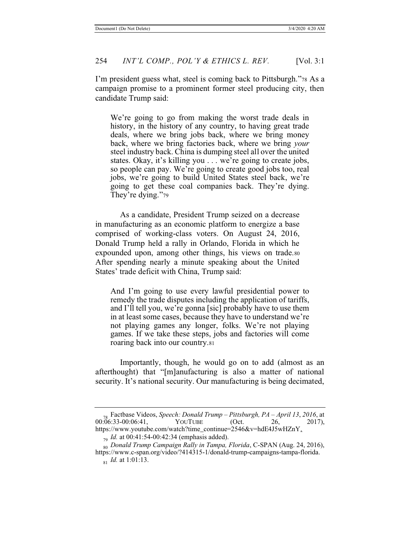I'm president guess what, steel is coming back to Pittsburgh."78 As a campaign promise to a prominent former steel producing city, then candidate Trump said:

We're going to go from making the worst trade deals in history, in the history of any country, to having great trade deals, where we bring jobs back, where we bring money back, where we bring factories back, where we bring *your*  steel industry back. China is dumping steel all over the united states. Okay, it's killing you . . . we're going to create jobs, so people can pay. We're going to create good jobs too, real jobs, we're going to build United States steel back, we're going to get these coal companies back. They're dying. They're dying."79

As a candidate, President Trump seized on a decrease in manufacturing as an economic platform to energize a base comprised of working-class voters. On August 24, 2016, Donald Trump held a rally in Orlando, Florida in which he expounded upon, among other things, his views on trade.80 After spending nearly a minute speaking about the United States' trade deficit with China, Trump said:

And I'm going to use every lawful presidential power to remedy the trade disputes including the application of tariffs, and I'll tell you, we're gonna [sic] probably have to use them in at least some cases, because they have to understand we're not playing games any longer, folks. We're not playing games. If we take these steps, jobs and factories will come roaring back into our country.81

Importantly, though, he would go on to add (almost as an afterthought) that "[m]anufacturing is also a matter of national security. It's national security. Our manufacturing is being decimated,

<sup>78</sup> Factbase Videos, *Speech: Donald Trump – Pittsburgh, PA – April 13*, *2016*, at  $00:\overline{0}6:33-00:06:41$ https://www.youtube.com/watch?time\_continue=2546&v=hdE4J5wHZnY.

<sup>79</sup> *Id.* at 00:41:54-00:42:34 (emphasis added).

<sup>80</sup> *Donald Trump Campaign Rally in Tampa, Florida*, C-SPAN (Aug. 24, 2016), https://www.c-span.org/video/?414315-1/donald-trump-campaigns-tampa-florida. <sub>81</sub> *Id.* at 1:01:13.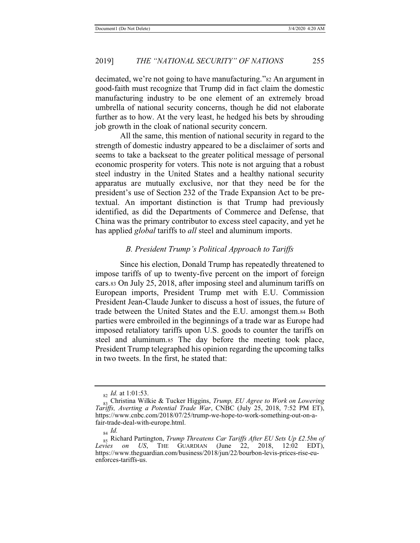decimated, we're not going to have manufacturing."82 An argument in good-faith must recognize that Trump did in fact claim the domestic manufacturing industry to be one element of an extremely broad umbrella of national security concerns, though he did not elaborate further as to how. At the very least, he hedged his bets by shrouding job growth in the cloak of national security concern.

All the same, this mention of national security in regard to the strength of domestic industry appeared to be a disclaimer of sorts and seems to take a backseat to the greater political message of personal economic prosperity for voters. This note is not arguing that a robust steel industry in the United States and a healthy national security apparatus are mutually exclusive, nor that they need be for the president's use of Section 232 of the Trade Expansion Act to be pretextual. An important distinction is that Trump had previously identified, as did the Departments of Commerce and Defense, that China was the primary contributor to excess steel capacity, and yet he has applied *global* tariffs to *all* steel and aluminum imports.

### *B. President Trump's Political Approach to Tariffs*

Since his election, Donald Trump has repeatedly threatened to impose tariffs of up to twenty-five percent on the import of foreign cars.83 On July 25, 2018, after imposing steel and aluminum tariffs on European imports, President Trump met with E.U. Commission President Jean-Claude Junker to discuss a host of issues, the future of trade between the United States and the E.U. amongst them.84 Both parties were embroiled in the beginnings of a trade war as Europe had imposed retaliatory tariffs upon U.S. goods to counter the tariffs on steel and aluminum.85 The day before the meeting took place, President Trump telegraphed his opinion regarding the upcoming talks in two tweets. In the first, he stated that:

<sup>82</sup> *Id.* at 1:01:53.

<sup>83</sup> Christina Wilkie & Tucker Higgins, *Trump, EU Agree to Work on Lowering Tariffs, Averting a Potential Trade War*, CNBC (July 25, 2018, 7:52 PM ET), https://www.cnbc.com/2018/07/25/trump-we-hope-to-work-something-out-on-afair-trade-deal-with-europe.html.

<sup>84</sup> *Id.*

<sup>&</sup>lt;sup>85</sup> Richard Partington, *Trump Threatens Car Tariffs After EU Sets Up £2.5bn of Levies on US*, THE GUARDIAN (June 22, 2018, 12:02 EDT), *on US*, THE GUARDIAN (June 22, 2018, 12:02 EDT), https://www.theguardian.com/business/2018/jun/22/bourbon-levis-prices-rise-euenforces-tariffs-us.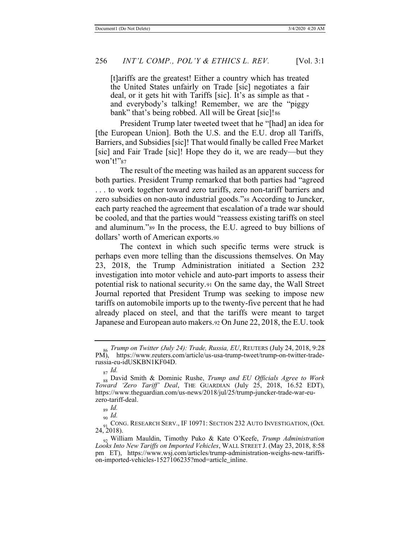[t]ariffs are the greatest! Either a country which has treated the United States unfairly on Trade [sic] negotiates a fair deal, or it gets hit with Tariffs [sic]. It's as simple as that and everybody's talking! Remember, we are the "piggy bank" that's being robbed. All will be Great [sic]!86

 President Trump later tweeted tweet that he "[had] an idea for [the European Union]. Both the U.S. and the E.U. drop all Tariffs, Barriers, and Subsidies [sic]! That would finally be called Free Market [sic] and Fair Trade [sic]! Hope they do it, we are ready—but they won't!"87

The result of the meeting was hailed as an apparent success for both parties. President Trump remarked that both parties had "agreed . . . to work together toward zero tariffs, zero non-tariff barriers and zero subsidies on non-auto industrial goods."88 According to Juncker, each party reached the agreement that escalation of a trade war should be cooled, and that the parties would "reassess existing tariffs on steel and aluminum."89 In the process, the E.U. agreed to buy billions of dollars' worth of American exports.90

The context in which such specific terms were struck is perhaps even more telling than the discussions themselves. On May 23, 2018, the Trump Administration initiated a Section 232 investigation into motor vehicle and auto-part imports to assess their potential risk to national security.91 On the same day, the Wall Street Journal reported that President Trump was seeking to impose new tariffs on automobile imports up to the twenty-five percent that he had already placed on steel, and that the tariffs were meant to target Japanese and European auto makers.92 On June 22, 2018, the E.U. took

<sup>86</sup> *Trump on Twitter (July 24): Trade, Russia, EU*, REUTERS (July 24, 2018, 9:28 PM), https://www.reuters.com/article/us-usa-trump-tweet/trump-on-twitter-traderussia-eu-idUSKBN1KF04D.

<sup>87</sup> *Id.*

<sup>88</sup> David Smith & Dominic Rushe, *Trump and EU Officials Agree to Work Toward 'Zero Tariff' Deal*, THE GUARDIAN (July 25, 2018, 16.52 EDT), https://www.theguardian.com/us-news/2018/jul/25/trump-juncker-trade-war-euzero-tariff-deal.

<sup>89</sup> *Id.*

<sup>90</sup> *Id.*

<sup>&</sup>lt;sub>91</sub> CONG. RESEARCH SERV., IF 10971: SECTION 232 AUTO INVESTIGATION, (Oct. 24, 2018).

<sup>92</sup> William Mauldin, Timothy Puko & Kate O'Keefe, *Trump Administration Looks Into New Tariffs on Imported Vehicles*, WALL STREET J. (May 23, 2018, 8:58 pm ET), https://www.wsj.com/articles/trump-administration-weighs-new-tariffson-imported-vehicles-1527106235?mod=article\_inline.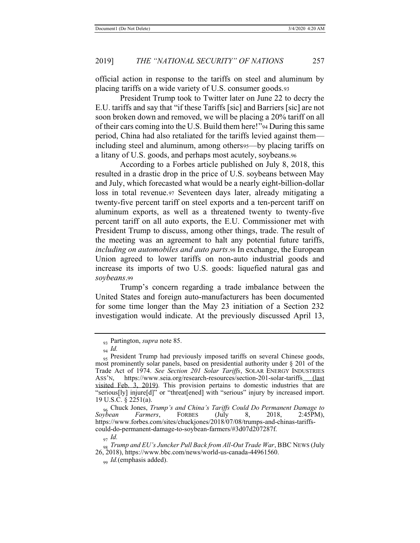official action in response to the tariffs on steel and aluminum by placing tariffs on a wide variety of U.S. consumer goods.93

President Trump took to Twitter later on June 22 to decry the E.U. tariffs and say that "if these Tariffs [sic] and Barriers [sic] are not soon broken down and removed, we will be placing a 20% tariff on all of their cars coming into the U.S. Build them here!"94 During this same period, China had also retaliated for the tariffs levied against them including steel and aluminum, among others95—by placing tariffs on a litany of U.S. goods, and perhaps most acutely, soybeans.96

According to a Forbes article published on July 8, 2018, this resulted in a drastic drop in the price of U.S. soybeans between May and July, which forecasted what would be a nearly eight-billion-dollar loss in total revenue.97 Seventeen days later, already mitigating a twenty-five percent tariff on steel exports and a ten-percent tariff on aluminum exports, as well as a threatened twenty to twenty-five percent tariff on all auto exports, the E.U. Commissioner met with President Trump to discuss, among other things, trade. The result of the meeting was an agreement to halt any potential future tariffs, *including on automobiles and auto parts*.98 In exchange, the European Union agreed to lower tariffs on non-auto industrial goods and increase its imports of two U.S. goods: liquefied natural gas and *soybeans*.99

Trump's concern regarding a trade imbalance between the United States and foreign auto-manufacturers has been documented for some time longer than the May 23 initiation of a Section 232 investigation would indicate. At the previously discussed April 13,

<sup>93</sup> Partington, *supra* note 85.

<sup>94</sup> *Id.*

<sup>&</sup>lt;sub>95</sub> President Trump had previously imposed tariffs on several Chinese goods, most prominently solar panels, based on presidential authority under § 201 of the Trade Act of 1974. *See Section 201 Solar Tariffs*, SOLAR ENERGY INDUSTRIES ASS'N, https://www.seia.org/research-resources/section-201-solar-tariffs (last visited Feb. 3, 2019). This provision pertains to domestic industries that are "serious[ly] injure[d]" or "threat[ened] with "serious" injury by increased import. 19 U.S.C. § 2251(a).

<sup>96</sup> Chuck Jones, *Trump's and China's Tariffs Could Do Permanent Damage to Soybean Farmers*, FORBES (July 8, 2018, 2:45PM), https://www.forbes.com/sites/chuckjones/2018/07/08/trumps-and-chinas-tariffscould-do-permanent-damage-to-soybean-farmers/#3d07d207287f.

<sup>97</sup> *Id.*

<sup>98</sup> *Trump and EU's Juncker Pull Back from All-Out Trade War*, BBC NEWS (July 26, 2018), https://www.bbc.com/news/world-us-canada-44961560.

<sup>99</sup> *Id.*(emphasis added).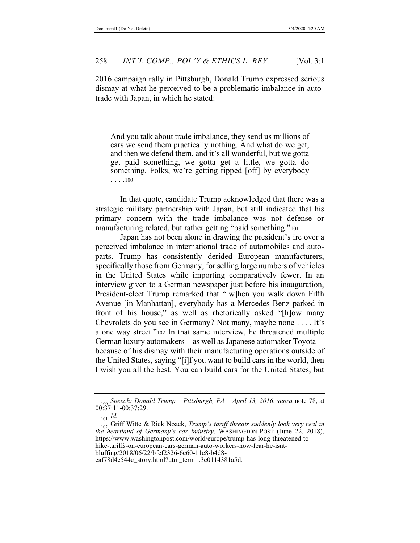2016 campaign rally in Pittsburgh, Donald Trump expressed serious dismay at what he perceived to be a problematic imbalance in autotrade with Japan, in which he stated:

And you talk about trade imbalance, they send us millions of cars we send them practically nothing. And what do we get, and then we defend them, and it's all wonderful, but we gotta get paid something, we gotta get a little, we gotta do something. Folks, we're getting ripped [off] by everybody . . . .100

In that quote, candidate Trump acknowledged that there was a strategic military partnership with Japan, but still indicated that his primary concern with the trade imbalance was not defense or manufacturing related, but rather getting "paid something."<sup>101</sup>

Japan has not been alone in drawing the president's ire over a perceived imbalance in international trade of automobiles and autoparts. Trump has consistently derided European manufacturers, specifically those from Germany, for selling large numbers of vehicles in the United States while importing comparatively fewer. In an interview given to a German newspaper just before his inauguration, President-elect Trump remarked that "[w]hen you walk down Fifth Avenue [in Manhattan], everybody has a Mercedes-Benz parked in front of his house," as well as rhetorically asked "[h]ow many Chevrolets do you see in Germany? Not many, maybe none . . . . It's a one way street."102 In that same interview, he threatened multiple German luxury automakers—as well as Japanese automaker Toyota because of his dismay with their manufacturing operations outside of the United States, saying "[i]f you want to build cars in the world, then I wish you all the best. You can build cars for the United States, but

<sup>100</sup> *Speech: Donald Trump – Pittsburgh, PA – April 13, 2016*, *supra* note 78, at 00:37:11-00:37:29.

<sup>101</sup> *Id.*

<sup>102</sup> Griff Witte & Rick Noack, *Trump's tariff threats suddenly look very real in the heartland of Germany's car industry*, WASHINGTON POST (June 22, 2018), https://www.washingtonpost.com/world/europe/trump-has-long-threatened-tohike-tariffs-on-european-cars-german-auto-workers-now-fear-he-isntbluffing/2018/06/22/bfcf2326-6e60-11e8-b4d8-

eaf78d4c544c\_story.html?utm\_term=.3e0114381a5d.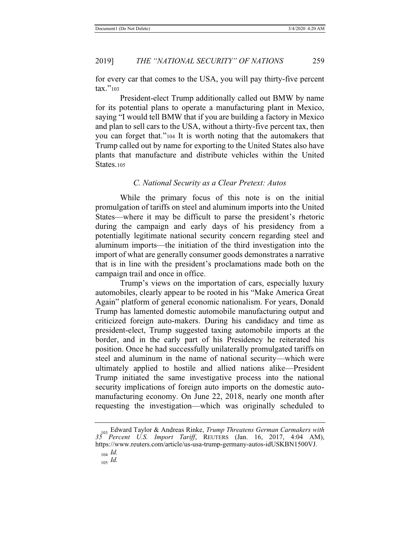for every car that comes to the USA, you will pay thirty-five percent tax."<sup>103</sup>

President-elect Trump additionally called out BMW by name for its potential plans to operate a manufacturing plant in Mexico, saying "I would tell BMW that if you are building a factory in Mexico and plan to sell cars to the USA, without a thirty-five percent tax, then you can forget that."104 It is worth noting that the automakers that Trump called out by name for exporting to the United States also have plants that manufacture and distribute vehicles within the United States.105

### *C. National Security as a Clear Pretext: Autos*

While the primary focus of this note is on the initial promulgation of tariffs on steel and aluminum imports into the United States—where it may be difficult to parse the president's rhetoric during the campaign and early days of his presidency from a potentially legitimate national security concern regarding steel and aluminum imports—the initiation of the third investigation into the import of what are generally consumer goods demonstrates a narrative that is in line with the president's proclamations made both on the campaign trail and once in office.

Trump's views on the importation of cars, especially luxury automobiles, clearly appear to be rooted in his "Make America Great Again" platform of general economic nationalism. For years, Donald Trump has lamented domestic automobile manufacturing output and criticized foreign auto-makers. During his candidacy and time as president-elect, Trump suggested taxing automobile imports at the border, and in the early part of his Presidency he reiterated his position. Once he had successfully unilaterally promulgated tariffs on steel and aluminum in the name of national security—which were ultimately applied to hostile and allied nations alike—President Trump initiated the same investigative process into the national security implications of foreign auto imports on the domestic automanufacturing economy. On June 22, 2018, nearly one month after requesting the investigation—which was originally scheduled to

<sup>103</sup> Edward Taylor & Andreas Rinke, *Trump Threatens German Carmakers with 35 Percent U.S. Import Tariff*, REUTERS (Jan. 16, 2017, 4:04 AM), https://www.reuters.com/article/us-usa-trump-germany-autos-idUSKBN1500VJ.

<sup>104</sup> *Id.*

<sup>105</sup> *Id.*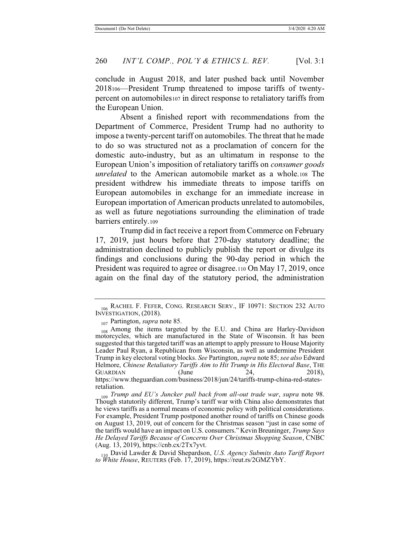conclude in August 2018, and later pushed back until November 2018106—President Trump threatened to impose tariffs of twentypercent on automobiles107 in direct response to retaliatory tariffs from the European Union.

Absent a finished report with recommendations from the Department of Commerce, President Trump had no authority to impose a twenty-percent tariff on automobiles. The threat that he made to do so was structured not as a proclamation of concern for the domestic auto-industry, but as an ultimatum in response to the European Union's imposition of retaliatory tariffs on *consumer goods unrelated* to the American automobile market as a whole.108 The president withdrew his immediate threats to impose tariffs on European automobiles in exchange for an immediate increase in European importation of American products unrelated to automobiles, as well as future negotiations surrounding the elimination of trade barriers entirely.109

Trump did in fact receive a report from Commerce on February 17, 2019, just hours before that 270-day statutory deadline; the administration declined to publicly publish the report or divulge its findings and conclusions during the 90-day period in which the President was required to agree or disagree.<sup>110</sup> On May 17, 2019, once again on the final day of the statutory period, the administration

https://www.theguardian.com/business/2018/jun/24/tariffs-trump-china-red-statesretaliation.

<sup>106</sup> RACHEL F. FEFER, CONG. RESEARCH SERV., IF 10971: SECTION 232 AUTO INVESTIGATION, (2018).

<sup>107</sup> Partington, *supra* note 85.

<sup>&</sup>lt;sub>108</sub> Among the items targeted by the E.U. and China are Harley-Davidson motorcycles, which are manufactured in the State of Wisconsin. It has been suggested that this targeted tariff was an attempt to apply pressure to House Majority Leader Paul Ryan, a Republican from Wisconsin, as well as undermine President Trump in key electoral voting blocks. *See* Partington, *supra* note 85; *see also* Edward Helmore, *Chinese Retaliatory Tariffs Aim to Hit Trump in His Electoral Base*, THE GUARDIAN (June 24, 2018), GUARDIAN (June 24, 2018),

<sup>109</sup> *Trump and EU's Juncker pull back from all-out trade war*, *supra* note 98. Though statutorily different, Trump's tariff war with China also demonstrates that he views tariffs as a normal means of economic policy with political considerations. For example, President Trump postponed another round of tariffs on Chinese goods on August 13, 2019, out of concern for the Christmas season "just in case some of the tariffs would have an impact on U.S. consumers." Kevin Breuninger, *Trump Says He Delayed Tariffs Because of Concerns Over Christmas Shopping Season*, CNBC (Aug. 13, 2019), https://cnb.cx/2Tx7yvt.

<sup>110</sup> David Lawder & David Shepardson, *U.S. Agency Submits Auto Tariff Report to White House*, REUTERS (Feb. 17, 2019), https://reut.rs/2GMZYbY.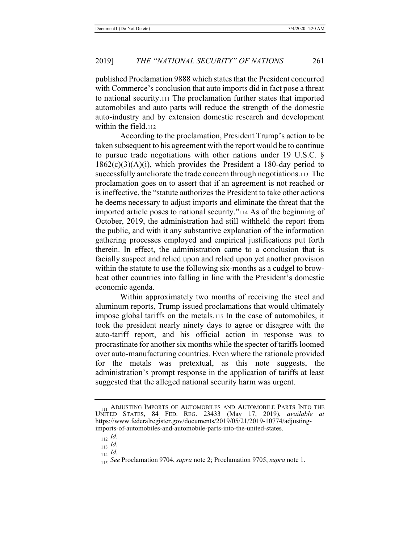published Proclamation 9888 which states that the President concurred with Commerce's conclusion that auto imports did in fact pose a threat to national security.111 The proclamation further states that imported automobiles and auto parts will reduce the strength of the domestic auto-industry and by extension domestic research and development within the field.112

According to the proclamation, President Trump's action to be taken subsequent to his agreement with the report would be to continue to pursue trade negotiations with other nations under 19 U.S.C. §  $1862(c)(3)(A)(i)$ , which provides the President a 180-day period to successfully ameliorate the trade concern through negotiations.113 The proclamation goes on to assert that if an agreement is not reached or is ineffective, the "statute authorizes the President to take other actions he deems necessary to adjust imports and eliminate the threat that the imported article poses to national security."114 As of the beginning of October, 2019, the administration had still withheld the report from the public, and with it any substantive explanation of the information gathering processes employed and empirical justifications put forth therein. In effect, the administration came to a conclusion that is facially suspect and relied upon and relied upon yet another provision within the statute to use the following six-months as a cudgel to browbeat other countries into falling in line with the President's domestic economic agenda.

Within approximately two months of receiving the steel and aluminum reports, Trump issued proclamations that would ultimately impose global tariffs on the metals.115 In the case of automobiles, it took the president nearly ninety days to agree or disagree with the auto-tariff report, and his official action in response was to procrastinate for another six months while the specter of tariffs loomed over auto-manufacturing countries. Even where the rationale provided for the metals was pretextual, as this note suggests, the administration's prompt response in the application of tariffs at least suggested that the alleged national security harm was urgent.

<sup>114</sup> *Id.*

<sup>111</sup> ADJUSTING IMPORTS OF AUTOMOBILES AND AUTOMOBILE PARTS INTO THE UNITED STATES, 84 FED. REG. 23433 (May 17, 2019), *available at*  https://www.federalregister.gov/documents/2019/05/21/2019-10774/adjustingimports-of-automobiles-and-automobile-parts-into-the-united-states.

<sup>112</sup> *Id.*

<sup>113</sup> *Id.*

<sup>115</sup> *See* Proclamation 9704, *supra* note 2; Proclamation 9705, *supra* note 1.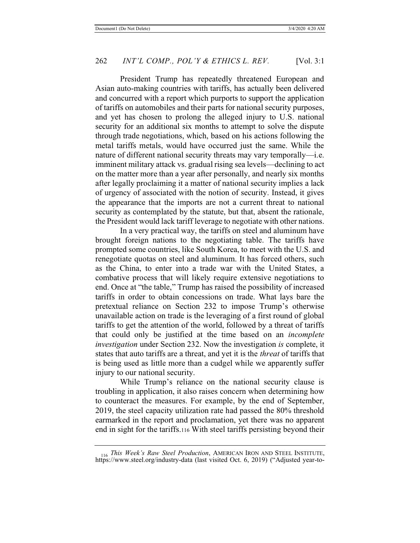President Trump has repeatedly threatened European and Asian auto-making countries with tariffs, has actually been delivered and concurred with a report which purports to support the application of tariffs on automobiles and their parts for national security purposes, and yet has chosen to prolong the alleged injury to U.S. national security for an additional six months to attempt to solve the dispute through trade negotiations, which, based on his actions following the metal tariffs metals, would have occurred just the same. While the nature of different national security threats may vary temporally—i.e. imminent military attack vs. gradual rising sea levels—declining to act on the matter more than a year after personally, and nearly six months after legally proclaiming it a matter of national security implies a lack of urgency of associated with the notion of security. Instead, it gives the appearance that the imports are not a current threat to national security as contemplated by the statute, but that, absent the rationale, the President would lack tariff leverage to negotiate with other nations.

In a very practical way, the tariffs on steel and aluminum have brought foreign nations to the negotiating table. The tariffs have prompted some countries, like South Korea, to meet with the U.S. and renegotiate quotas on steel and aluminum. It has forced others, such as the China, to enter into a trade war with the United States, a combative process that will likely require extensive negotiations to end. Once at "the table," Trump has raised the possibility of increased tariffs in order to obtain concessions on trade. What lays bare the pretextual reliance on Section 232 to impose Trump's otherwise unavailable action on trade is the leveraging of a first round of global tariffs to get the attention of the world, followed by a threat of tariffs that could only be justified at the time based on an *incomplete investigation* under Section 232. Now the investigation *is* complete, it states that auto tariffs are a threat, and yet it is the *threat* of tariffs that is being used as little more than a cudgel while we apparently suffer injury to our national security.

While Trump's reliance on the national security clause is troubling in application, it also raises concern when determining how to counteract the measures. For example, by the end of September, 2019, the steel capacity utilization rate had passed the 80% threshold earmarked in the report and proclamation, yet there was no apparent end in sight for the tariffs.116 With steel tariffs persisting beyond their

<sup>116</sup> *This Week's Raw Steel Production*, AMERICAN IRON AND STEEL INSTITUTE, https://www.steel.org/industry-data (last visited Oct. 6, 2019) ("Adjusted year-to-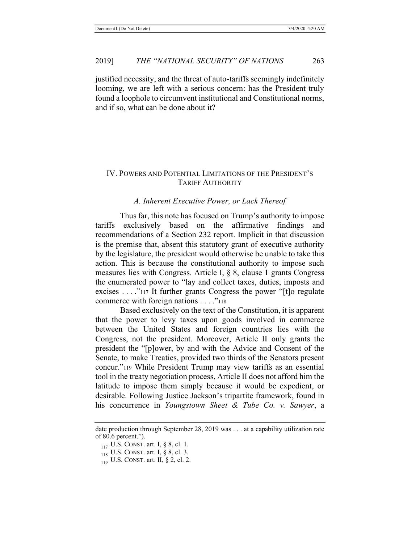justified necessity, and the threat of auto-tariffs seemingly indefinitely looming, we are left with a serious concern: has the President truly found a loophole to circumvent institutional and Constitutional norms, and if so, what can be done about it?

# IV. POWERS AND POTENTIAL LIMITATIONS OF THE PRESIDENT'S TARIFF AUTHORITY

# *A. Inherent Executive Power, or Lack Thereof*

Thus far, this note has focused on Trump's authority to impose tariffs exclusively based on the affirmative findings and recommendations of a Section 232 report. Implicit in that discussion is the premise that, absent this statutory grant of executive authority by the legislature, the president would otherwise be unable to take this action. This is because the constitutional authority to impose such measures lies with Congress. Article I, § 8, clause 1 grants Congress the enumerated power to "lay and collect taxes, duties, imposts and excises . . . ."117 It further grants Congress the power "[t]o regulate commerce with foreign nations . . . . "<sup>118</sup>

Based exclusively on the text of the Constitution, it is apparent that the power to levy taxes upon goods involved in commerce between the United States and foreign countries lies with the Congress, not the president. Moreover, Article II only grants the president the "[p]ower, by and with the Advice and Consent of the Senate, to make Treaties, provided two thirds of the Senators present concur."119 While President Trump may view tariffs as an essential tool in the treaty negotiation process, Article II does not afford him the latitude to impose them simply because it would be expedient, or desirable. Following Justice Jackson's tripartite framework, found in his concurrence in *Youngstown Sheet & Tube Co. v. Sawyer*, a

date production through September 28, 2019 was . . . at a capability utilization rate of 80.6 percent.").

 $117$  U.S. CONST. art. I, § 8, cl. 1.

<sup>118</sup> U.S. CONST. art. I, § 8, cl. 3.

 $119$  U.S. CONST. art. II, § 2, cl. 2.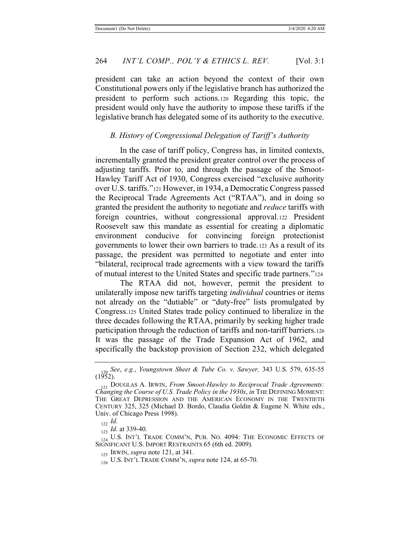president can take an action beyond the context of their own Constitutional powers only if the legislative branch has authorized the president to perform such actions.120 Regarding this topic, the president would only have the authority to impose these tariffs if the legislative branch has delegated some of its authority to the executive.

### *B. History of Congressional Delegation of Tariff's Authority*

In the case of tariff policy, Congress has, in limited contexts, incrementally granted the president greater control over the process of adjusting tariffs. Prior to, and through the passage of the Smoot-Hawley Tariff Act of 1930, Congress exercised "exclusive authority over U.S. tariffs."121 However, in 1934, a Democratic Congress passed the Reciprocal Trade Agreements Act ("RTAA"), and in doing so granted the president the authority to negotiate and *reduce* tariffs with foreign countries, without congressional approval.122 President Roosevelt saw this mandate as essential for creating a diplomatic environment conducive for convincing foreign protectionist governments to lower their own barriers to trade.123 As a result of its passage, the president was permitted to negotiate and enter into "bilateral, reciprocal trade agreements with a view toward the tariffs of mutual interest to the United States and specific trade partners."124

The RTAA did not, however, permit the president to unilaterally impose new tariffs targeting *individual* countries or items not already on the "dutiable" or "duty-free" lists promulgated by Congress.125 United States trade policy continued to liberalize in the three decades following the RTAA, primarily by seeking higher trade participation through the reduction of tariffs and non-tariff barriers.126 It was the passage of the Trade Expansion Act of 1962, and specifically the backstop provision of Section 232, which delegated

<sup>120</sup> *See*, *e.g.*, *Youngstown Sheet & Tube Co. v. Sawyer,* 343 U.S. 579, 635-55  $(1952)$ .

<sup>121</sup> DOUGLAS A. IRWIN, *From Smoot-Hawley to Reciprocal Trade Agreements: Changing the Course of U.S. Trade Policy in the 1930s*, *in* THE DEFINING MOMENT: THE GREAT DEPRESSION AND THE AMERICAN ECONOMY IN THE TWENTIETH CENTURY 325, 325 (Michael D. Bordo, Claudia Goldin & Eugene N. White eds., Univ. of Chicago Press 1998).

 $_{122}$  *Id.* 

<sup>123</sup> *Id.* at 339-40.

<sup>124</sup> U.S. INT'L TRADE COMM'N, PUB. NO. 4094: THE ECONOMIC EFFECTS OF SIGNIFICANT U.S. IMPORT RESTRAINTS 65 (6th ed. 2009).

<sup>125</sup> IRWIN, *supra* note 121, at 341.

<sup>126</sup> U.S. INT'L TRADE COMM'N, *supra* note 124, at 65-70.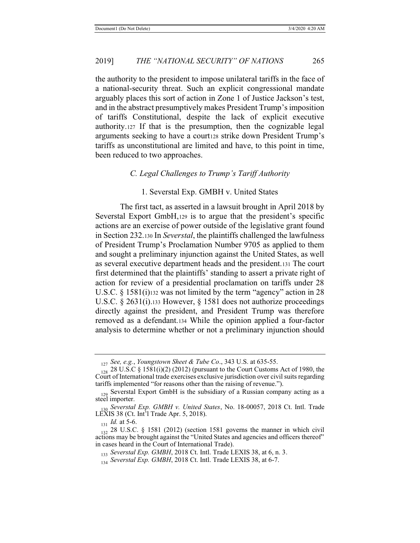the authority to the president to impose unilateral tariffs in the face of a national-security threat. Such an explicit congressional mandate arguably places this sort of action in Zone 1 of Justice Jackson's test, and in the abstract presumptively makes President Trump's imposition of tariffs Constitutional, despite the lack of explicit executive authority.127 If that is the presumption, then the cognizable legal arguments seeking to have a courtize strike down President Trump's tariffs as unconstitutional are limited and have, to this point in time, been reduced to two approaches.

### *C. Legal Challenges to Trump's Tariff Authority*

### 1. Severstal Exp. GMBH v. United States

The first tact, as asserted in a lawsuit brought in April 2018 by Severstal Export GmbH,129 is to argue that the president's specific actions are an exercise of power outside of the legislative grant found in Section 232.130 In *Severstal*, the plaintiffs challenged the lawfulness of President Trump's Proclamation Number 9705 as applied to them and sought a preliminary injunction against the United States, as well as several executive department heads and the president.131 The court first determined that the plaintiffs' standing to assert a private right of action for review of a presidential proclamation on tariffs under 28 U.S.C. § 1581(i)<sup>132</sup> was not limited by the term "agency" action in 28 U.S.C. § 2631(i).133 However, § 1581 does not authorize proceedings directly against the president, and President Trump was therefore removed as a defendant.134 While the opinion applied a four-factor analysis to determine whether or not a preliminary injunction should

<sup>127</sup> *See, e.g.*, *Youngstown Sheet & Tube Co*., 343 U.S. at 635-55.

 $\frac{128}{128}$  28 U.S.C § 1581(i)(2) (2012) (pursuant to the Court Customs Act of 1980, the Court of International trade exercises exclusive jurisdiction over civil suits regarding tariffs implemented "for reasons other than the raising of revenue.").

 $_{129}$  Severstal Export GmbH is the subsidiary of a Russian company acting as a steel importer.

<sup>130</sup> *Severstal Exp. GMBH v. United States*, No. 18-00057, 2018 Ct. Intl. Trade LEXIS 38 (Ct. Int'l Trade Apr. 5, 2018).

 $131$  *Id.* at 5-6.

 $\frac{132}{132}$  28 U.S.C. § 1581 (2012) (section 1581 governs the manner in which civil actions may be brought against the "United States and agencies and officers thereof" in cases heard in the Court of International Trade).

<sup>133</sup> *Severstal Exp. GMBH*, 2018 Ct. Intl. Trade LEXIS 38, at 6, n. 3.

<sup>&</sup>lt;sup>114</sup> Severstal Exp. GMBH, 2018 Ct. Intl. Trade LEXIS 38, at 6-7.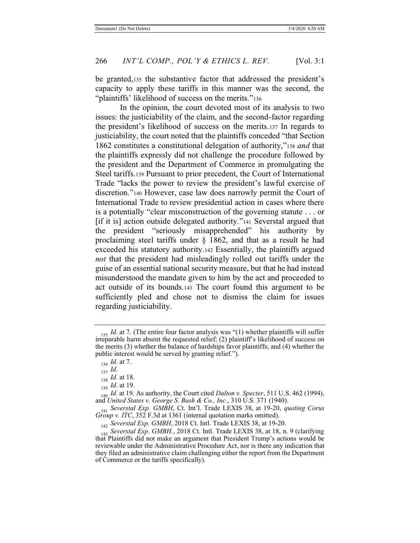be granted,135 the substantive factor that addressed the president's capacity to apply these tariffs in this manner was the second, the "plaintiffs' likelihood of success on the merits."<sup>136</sup>

In the opinion, the court devoted most of its analysis to two issues: the justiciability of the claim, and the second-factor regarding the president's likelihood of success on the merits.137 In regards to justiciability, the court noted that the plaintiffs conceded "that Section 1862 constitutes a constitutional delegation of authority,"<sup>138</sup> *and* that the plaintiffs expressly did not challenge the procedure followed by the president and the Department of Commerce in promulgating the Steel tariffs.139 Pursuant to prior precedent, the Court of International Trade "lacks the power to review the president's lawful exercise of discretion."140 However, case law does narrowly permit the Court of International Trade to review presidential action in cases where there is a potentially "clear misconstruction of the governing statute . . . or [if it is] action outside delegated authority."141 Severstal argued that the president "seriously misapprehended" his authority by proclaiming steel tariffs under  $\S$  1862, and that as a result he had exceeded his statutory authority.142 Essentially, the plaintiffs argued *not* that the president had misleadingly rolled out tariffs under the guise of an essential national security measure, but that he had instead misunderstood the mandate given to him by the act and proceeded to act outside of its bounds.143 The court found this argument to be sufficiently pled and chose not to dismiss the claim for issues regarding justiciability.

<sup>135</sup> *Id.* at 7. (The entire four factor analysis was "(1) whether plaintiffs will suffer irreparable harm absent the requested relief; (2) plaintiff's likelihood of success on the merits (3) whether the balance of hardships favor plaintiffs; and (4) whether the public interest would be served by granting relief.").

<sup>136</sup> *Id.* at 7.

<sup>137</sup> *Id.*

<sup>138</sup> *Id.* at 18.

<sup>139</sup> *Id.* at 19.

<sup>140</sup> *Id.* at 19. As authority, the Court cited *Dalton v. Specter*, 511 U.S. 462 (1994), and *United States v. George S. Bush & Co., Inc.*, 310 U.S. 371 (1940).

<sup>141</sup> *Severstal Exp. GMBH*, Ct. Int'l. Trade LEXIS 38, at 19-20, *quoting Corus Group v. ITC*, 352 F.3d at 1361 (internal quotation marks omitted).

<sup>142</sup> *Severstal Exp. GMBH*, 2018 Ct. Intl. Trade LEXIS 38, at 19-20.

<sup>143</sup> *Severstal Exp. GMBH.*, 2018 Ct. Intl. Trade LEXIS 38, at 18, n. 9 (clarifying that Plaintiffs did not make an argument that President Trump's actions would be reviewable under the Administrative Procedure Act, nor is there any indication that they filed an administrative claim challenging either the report from the Department of Commerce or the tariffs specifically).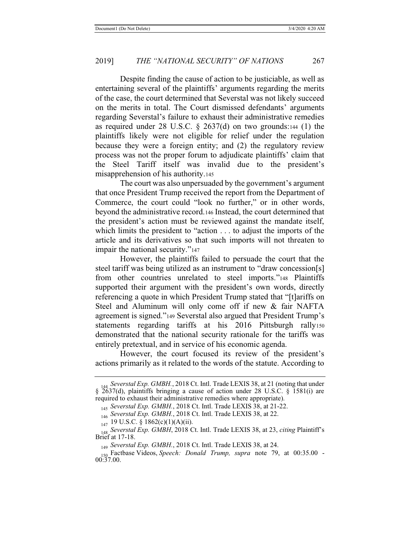Despite finding the cause of action to be justiciable, as well as entertaining several of the plaintiffs' arguments regarding the merits of the case, the court determined that Severstal was not likely succeed on the merits in total. The Court dismissed defendants' arguments regarding Severstal's failure to exhaust their administrative remedies as required under 28 U.S.C. § 2637(d) on two grounds:144 (1) the plaintiffs likely were not eligible for relief under the regulation because they were a foreign entity; and (2) the regulatory review process was not the proper forum to adjudicate plaintiffs' claim that the Steel Tariff itself was invalid due to the president's misapprehension of his authority.145

The court was also unpersuaded by the government's argument that once President Trump received the report from the Department of Commerce, the court could "look no further," or in other words, beyond the administrative record.146 Instead, the court determined that the president's action must be reviewed against the mandate itself, which limits the president to "action . . . to adjust the imports of the article and its derivatives so that such imports will not threaten to impair the national security."<sup>147</sup>

However, the plaintiffs failed to persuade the court that the steel tariff was being utilized as an instrument to "draw concession[s] from other countries unrelated to steel imports."148 Plaintiffs supported their argument with the president's own words, directly referencing a quote in which President Trump stated that "[t]ariffs on Steel and Aluminum will only come off if new & fair NAFTA agreement is signed."149 Severstal also argued that President Trump's statements regarding tariffs at his 2016 Pittsburgh rally150 demonstrated that the national security rationale for the tariffs was entirely pretextual, and in service of his economic agenda.

However, the court focused its review of the president's actions primarily as it related to the words of the statute. According to

<sup>144</sup> *Severstal Exp. GMBH.*, 2018 Ct. Intl. Trade LEXIS 38, at 21 (noting that under § 2637(d), plaintiffs bringing a cause of action under 28 U.S.C. § 1581(i) are required to exhaust their administrative remedies where appropriate).

<sup>145</sup> *Severstal Exp. GMBH.*, 2018 Ct. Intl. Trade LEXIS 38, at 21-22.

<sup>146</sup> *Severstal Exp. GMBH.*, 2018 Ct. Intl. Trade LEXIS 38, at 22.

<sup>147 19</sup> U.S.C. § 1862(c)(1)(A)(ii).

<sup>148</sup> *Severstal Exp. GMBH*, 2018 Ct. Intl. Trade LEXIS 38, at 23, *citing* Plaintiff's Brief at 17-18.

<sup>149</sup> *Severstal Exp. GMBH.*, 2018 Ct. Intl. Trade LEXIS 38, at 24.

<sup>150</sup> Factbase Videos, *Speech: Donald Trump, supra* note 79, at 00:35.00 - 00:37.00.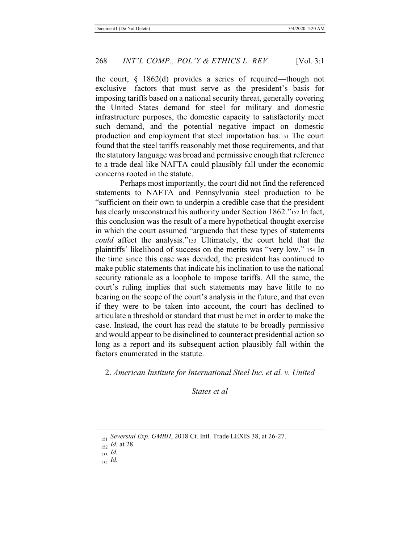the court, § 1862(d) provides a series of required—though not exclusive—factors that must serve as the president's basis for imposing tariffs based on a national security threat, generally covering the United States demand for steel for military and domestic infrastructure purposes, the domestic capacity to satisfactorily meet such demand, and the potential negative impact on domestic production and employment that steel importation has.151 The court found that the steel tariffs reasonably met those requirements, and that the statutory language was broad and permissive enough that reference to a trade deal like NAFTA could plausibly fall under the economic concerns rooted in the statute.

Perhaps most importantly, the court did not find the referenced statements to NAFTA and Pennsylvania steel production to be "sufficient on their own to underpin a credible case that the president has clearly misconstrued his authority under Section 1862."152 In fact, this conclusion was the result of a mere hypothetical thought exercise in which the court assumed "arguendo that these types of statements *could* affect the analysis."153 Ultimately, the court held that the plaintiffs' likelihood of success on the merits was "very low." 154 In the time since this case was decided, the president has continued to make public statements that indicate his inclination to use the national security rationale as a loophole to impose tariffs. All the same, the court's ruling implies that such statements may have little to no bearing on the scope of the court's analysis in the future, and that even if they were to be taken into account, the court has declined to articulate a threshold or standard that must be met in order to make the case. Instead, the court has read the statute to be broadly permissive and would appear to be disinclined to counteract presidential action so long as a report and its subsequent action plausibly fall within the factors enumerated in the statute.

2. *American Institute for International Steel Inc. et al. v. United* 

*States et al* 

<sup>151</sup> *Severstal Exp. GMBH*, 2018 Ct. Intl. Trade LEXIS 38, at 26-27.

<sup>152</sup> *Id.* at 28.

<sup>153</sup> *Id.*

<sup>154</sup> *Id.*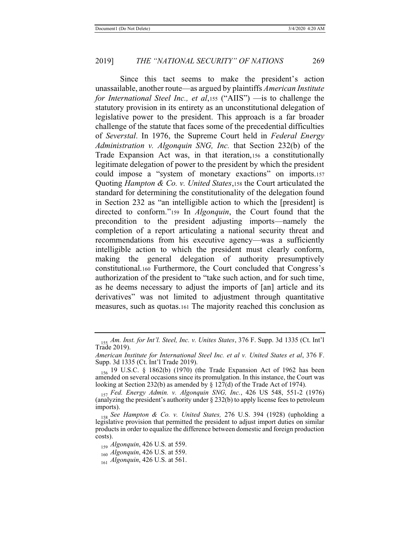Since this tact seems to make the president's action unassailable, another route—as argued by plaintiffs *American Institute for International Steel Inc., et al*,155 ("AIIS") —is to challenge the statutory provision in its entirety as an unconstitutional delegation of legislative power to the president. This approach is a far broader challenge of the statute that faces some of the precedential difficulties of *Severstal*. In 1976, the Supreme Court held in *Federal Energy Administration v. Algonquin SNG, Inc.* that Section 232(b) of the Trade Expansion Act was, in that iteration,156 a constitutionally legitimate delegation of power to the president by which the president could impose a "system of monetary exactions" on imports.157 Quoting *Hampton & Co. v. United States*,158 the Court articulated the standard for determining the constitutionality of the delegation found in Section 232 as "an intelligible action to which the [president] is directed to conform."159 In *Algonquin*, the Court found that the precondition to the president adjusting imports—namely the completion of a report articulating a national security threat and recommendations from his executive agency—was a sufficiently intelligible action to which the president must clearly conform, making the general delegation of authority presumptively constitutional.160 Furthermore, the Court concluded that Congress's authorization of the president to "take such action, and for such time, as he deems necessary to adjust the imports of [an] article and its derivatives" was not limited to adjustment through quantitative measures, such as quotas.161 The majority reached this conclusion as

<sup>155</sup> *Am. Inst. for Int'l. Steel, Inc. v. Unites States*, 376 F. Supp. 3d 1335 (Ct. Int'l Trade 2019).

*American Institute for International Steel Inc. et al v. United States et al*, 376 F. Supp. 3d 1335 (Ct. Int'l Trade 2019).

<sup>156</sup> 19 U.S.C. § 1862(b) (1970) (the Trade Expansion Act of 1962 has been amended on several occasions since its promulgation. In this instance, the Court was looking at Section 232(b) as amended by  $\S 127(d)$  of the Trade Act of 1974).

<sup>157</sup> *Fed. Energy Admin. v. Algonquin SNG, Inc.*, 426 US 548, 551-2 (1976) (analyzing the president's authority under § 232(b) to apply license fees to petroleum imports).

<sup>158</sup> *See Hampton & Co. v. United States,* 276 U.S. 394 (1928) (upholding a legislative provision that permitted the president to adjust import duties on similar products in order to equalize the difference between domestic and foreign production costs).

<sup>159</sup> *Algonquin*, 426 U.S. at 559.

<sup>160</sup> *Algonquin*, 426 U.S. at 559.

<sup>161</sup> *Algonquin*, 426 U.S. at 561.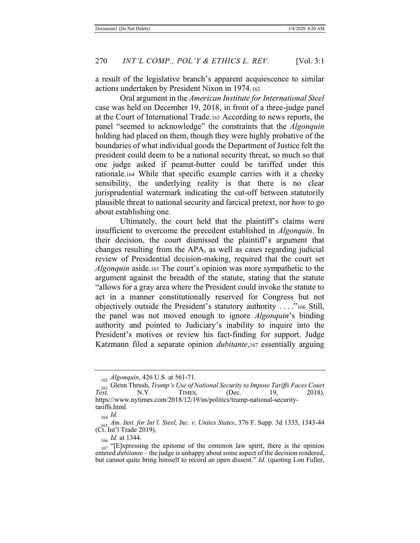a result of the legislative branch's apparent acquiescence to similar actions undertaken by President Nixon in 1974.162

Oral argument in the *American Institute for International Steel* case was held on December 19, 2018, in front of a three-judge panel at the Court of International Trade.163 According to news reports, the panel "seemed to acknowledge" the constraints that the *Algonquin*  holding had placed on them, though they were highly probative of the boundaries of what individual goods the Department of Justice felt the president could deem to be a national security threat, so much so that one judge asked if peanut-butter could be tariffed under this rationale.164 While that specific example carries with it a cheeky sensibility, the underlying reality is that there is no clear jurisprudential watermark indicating the cut-off between statutorily plausible threat to national security and farcical pretext, nor how to go about establishing one.

Ultimately, the court held that the plaintiff's claims were insufficient to overcome the precedent established in *Algonquin*. In their decision, the court dismissed the plaintiff's argument that changes resulting from the APA, as well as cases regarding judicial review of Presidential decision-making, required that the court set *Algonquin* aside.165 The court's opinion was more sympathetic to the argument against the breadth of the statute, stating that the statute "allows for a gray area where the President could invoke the statute to act in a manner constitutionally reserved for Congress but not objectively outside the President's statutory authority . . . ."166 Still, the panel was not moved enough to ignore *Algonquin*'s binding authority and pointed to Judiciary's inability to inquire into the President's motives or review his fact-finding for support. Judge Katzmann filed a separate opinion *dubitante*,167 essentially arguing

<sup>162</sup> *Algonquin*, 426 U.S. at 561-71.

<sup>&</sup>lt;sup>163</sup> Glenn Thrush, *Trump's Use of National Security to Impose Tariffs Faces Court Test,* (Dec. 19, 2018), *Test,* N.Y. TIMES, (Dec. 19, 2018), https://www.nytimes.com/2018/12/19/us/politics/trump-national-securitytariffs.html.

<sup>164</sup> *Id.*

<sup>165</sup> *Am. Inst. for Int'l. Steel, Inc. v. Unites States*, 376 F. Supp. 3d 1335, 1343-44 (Ct. Int'l Trade 2019).

<sup>166</sup> *Id.* at 1344.

 $_{167}$  "[E]xpressing the epitome of the common law spirit, there is the opinion entered *dubitante* – the judge is unhappy about some aspect of the decision rendered, but cannot quite bring himself to record an open dissent." *Id.* (quoting Lon Fuller,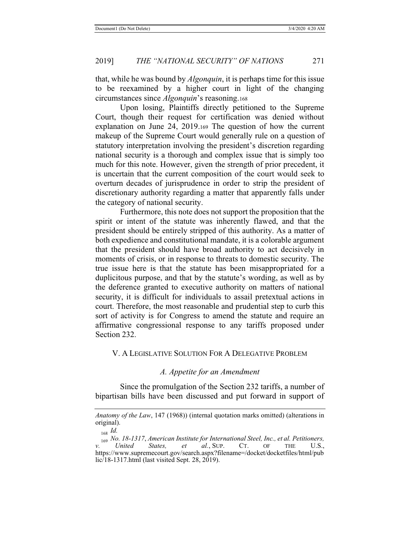that, while he was bound by *Algonquin*, it is perhaps time for this issue to be reexamined by a higher court in light of the changing circumstances since *Algonquin*'s reasoning.168

Upon losing, Plaintiffs directly petitioned to the Supreme Court, though their request for certification was denied without explanation on June 24, 2019.169 The question of how the current makeup of the Supreme Court would generally rule on a question of statutory interpretation involving the president's discretion regarding national security is a thorough and complex issue that is simply too much for this note. However, given the strength of prior precedent, it is uncertain that the current composition of the court would seek to overturn decades of jurisprudence in order to strip the president of discretionary authority regarding a matter that apparently falls under the category of national security.

Furthermore, this note does not support the proposition that the spirit or intent of the statute was inherently flawed, and that the president should be entirely stripped of this authority. As a matter of both expedience and constitutional mandate, it is a colorable argument that the president should have broad authority to act decisively in moments of crisis, or in response to threats to domestic security. The true issue here is that the statute has been misappropriated for a duplicitous purpose, and that by the statute's wording, as well as by the deference granted to executive authority on matters of national security, it is difficult for individuals to assail pretextual actions in court. Therefore, the most reasonable and prudential step to curb this sort of activity is for Congress to amend the statute and require an affirmative congressional response to any tariffs proposed under Section 232.

#### V. A LEGISLATIVE SOLUTION FOR A DELEGATIVE PROBLEM

#### *A. Appetite for an Amendment*

Since the promulgation of the Section 232 tariffs, a number of bipartisan bills have been discussed and put forward in support of

*Anatomy of the Law*, 147 (1968)) (internal quotation marks omitted) (alterations in original).

<sup>168</sup> *Id.*

<sup>&</sup>lt;sup>169</sup> No. 18-1317, *American Institute for International Steel, Inc., et al. Petitioners,*<br>*United States, et al., SUP.* CT. OF THE U.S., *v. United States, et al.*, SUP. CT. OF THE U.S., https://www.supremecourt.gov/search.aspx?filename=/docket/docketfiles/html/pub lic/18-1317.html (last visited Sept. 28, 2019).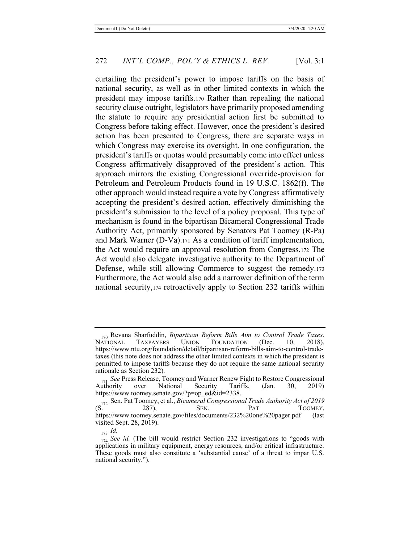curtailing the president's power to impose tariffs on the basis of national security, as well as in other limited contexts in which the president may impose tariffs.170 Rather than repealing the national security clause outright, legislators have primarily proposed amending the statute to require any presidential action first be submitted to Congress before taking effect. However, once the president's desired action has been presented to Congress, there are separate ways in which Congress may exercise its oversight. In one configuration, the president's tariffs or quotas would presumably come into effect unless Congress affirmatively disapproved of the president's action. This approach mirrors the existing Congressional override-provision for Petroleum and Petroleum Products found in 19 U.S.C. 1862(f). The other approach would instead require a vote by Congress affirmatively accepting the president's desired action, effectively diminishing the president's submission to the level of a policy proposal. This type of mechanism is found in the bipartisan Bicameral Congressional Trade Authority Act, primarily sponsored by Senators Pat Toomey (R-Pa) and Mark Warner (D-Va).171 As a condition of tariff implementation, the Act would require an approval resolution from Congress.172 The Act would also delegate investigative authority to the Department of Defense, while still allowing Commerce to suggest the remedy.173 Furthermore, the Act would also add a narrower definition of the term national security,174 retroactively apply to Section 232 tariffs within

<sup>&</sup>lt;sub>170</sub> Revana Sharfuddin, *Bipartisan Reform Bills Aim to Control Trade Taxes*, NATIONAL TAXPAYERS UNION FOUNDATION (Dec. 10, 2018), FOUNDATION https://www.ntu.org/foundation/detail/bipartisan-reform-bills-aim-to-control-tradetaxes (this note does not address the other limited contexts in which the president is permitted to impose tariffs because they do not require the same national security rationale as Section 232).

<sup>&</sup>lt;sup>171</sup> See Press Release, Toomey and Warner Renew Fight to Restore Congressional Authority over National Security Tariffs. (Jan. 30, 2019) Authority over National Security Tarif<br>https://www.toomey.senate.gov/?p=op\_ed&id=2338. https://www.toomey.senate.gov/?p=op\_ed&id=2338.

<sup>172</sup> Sen. Pat Toomey, et al., *Bicameral Congressional Trade Authority Act of 2019*  (S. 287), SEN. PAT TOOMEY, https://www.toomey.senate.gov/files/documents/232%20one%20pager.pdf (last visited Sept. 28, 2019).

<sup>173</sup> *Id.*

<sup>&</sup>lt;sub>174</sub> See id. (The bill would restrict Section 232 investigations to "goods with applications in military equipment, energy resources, and/or critical infrastructure. These goods must also constitute a 'substantial cause' of a threat to impar U.S. national security.").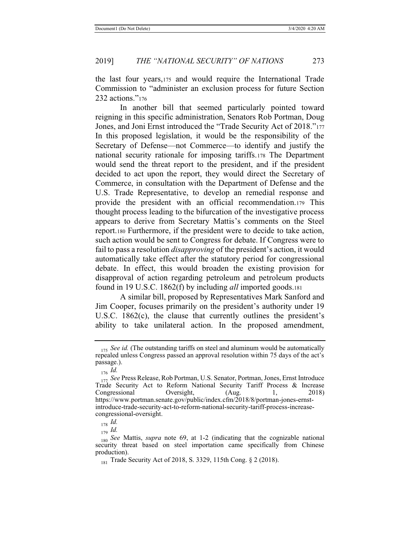the last four years,175 and would require the International Trade Commission to "administer an exclusion process for future Section 232 actions."<sup>176</sup>

In another bill that seemed particularly pointed toward reigning in this specific administration, Senators Rob Portman, Doug Jones, and Joni Ernst introduced the "Trade Security Act of 2018."<sup>177</sup> In this proposed legislation, it would be the responsibility of the Secretary of Defense—not Commerce—to identify and justify the national security rationale for imposing tariffs.178 The Department would send the threat report to the president, and if the president decided to act upon the report, they would direct the Secretary of Commerce, in consultation with the Department of Defense and the U.S. Trade Representative, to develop an remedial response and provide the president with an official recommendation.179 This thought process leading to the bifurcation of the investigative process appears to derive from Secretary Mattis's comments on the Steel report.180 Furthermore, if the president were to decide to take action, such action would be sent to Congress for debate. If Congress were to fail to pass a resolution *disapproving* of the president's action, it would automatically take effect after the statutory period for congressional debate. In effect, this would broaden the existing provision for disapproval of action regarding petroleum and petroleum products found in 19 U.S.C. 1862(f) by including *all* imported goods.181

A similar bill, proposed by Representatives Mark Sanford and Jim Cooper, focuses primarily on the president's authority under 19 U.S.C. 1862(c), the clause that currently outlines the president's ability to take unilateral action. In the proposed amendment,

<sup>179</sup> *Id.*

<sup>&</sup>lt;sub>175</sub> See id. (The outstanding tariffs on steel and aluminum would be automatically repealed unless Congress passed an approval resolution within 75 days of the act's passage.).

<sup>176</sup> *Id.*

<sup>177</sup> *See* Press Release, Rob Portman, U.S. Senator, Portman, Jones, Ernst Introduce Trade Security Act to Reform National Security Tariff Process & Increase Congressional Oversight, (Aug. 1, 2018) https://www.portman.senate.gov/public/index.cfm/2018/8/portman-jones-ernstintroduce-trade-security-act-to-reform-national-security-tariff-process-increasecongressional-oversight.

<sup>178</sup> *Id.*

<sup>180</sup> *See* Mattis, *supra* note 69, at 1-2 (indicating that the cognizable national security threat based on steel importation came specifically from Chinese production).

<sup>181</sup> Trade Security Act of 2018, S. 3329, 115th Cong. § 2 (2018).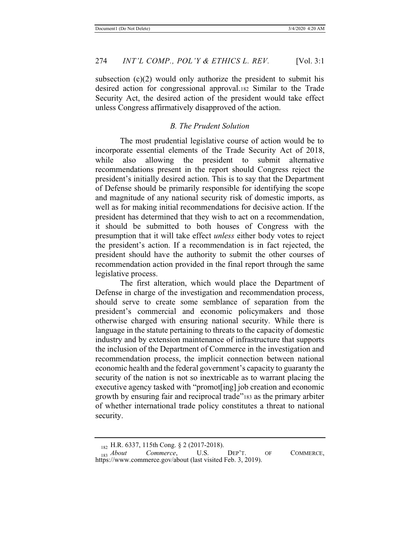subsection  $(c)(2)$  would only authorize the president to submit his desired action for congressional approval.182 Similar to the Trade Security Act, the desired action of the president would take effect unless Congress affirmatively disapproved of the action.

# *B. The Prudent Solution*

The most prudential legislative course of action would be to incorporate essential elements of the Trade Security Act of 2018, while also allowing the president to submit alternative recommendations present in the report should Congress reject the president's initially desired action. This is to say that the Department of Defense should be primarily responsible for identifying the scope and magnitude of any national security risk of domestic imports, as well as for making initial recommendations for decisive action. If the president has determined that they wish to act on a recommendation, it should be submitted to both houses of Congress with the presumption that it will take effect *unless* either body votes to reject the president's action. If a recommendation is in fact rejected, the president should have the authority to submit the other courses of recommendation action provided in the final report through the same legislative process.

The first alteration, which would place the Department of Defense in charge of the investigation and recommendation process, should serve to create some semblance of separation from the president's commercial and economic policymakers and those otherwise charged with ensuring national security. While there is language in the statute pertaining to threats to the capacity of domestic industry and by extension maintenance of infrastructure that supports the inclusion of the Department of Commerce in the investigation and recommendation process, the implicit connection between national economic health and the federal government's capacity to guaranty the security of the nation is not so inextricable as to warrant placing the executive agency tasked with "promot[ing] job creation and economic growth by ensuring fair and reciprocal trade"183 as the primary arbiter of whether international trade policy constitutes a threat to national security.

 $\begin{array}{lll} \textbf{182} & \textbf{H.R.} & 6337, & 115 \textbf{th Cong.} & \textbf{\$2$} & (2017\textbf{-}2018), \\ \textbf{183} & About & Commerce, & \textbf{U.S.} \end{array}$ 183 *About* Commerce, U.S. DEP'T. OF COMMERCE, https://www.commerce.gov/about (last visited Feb. 3, 2019).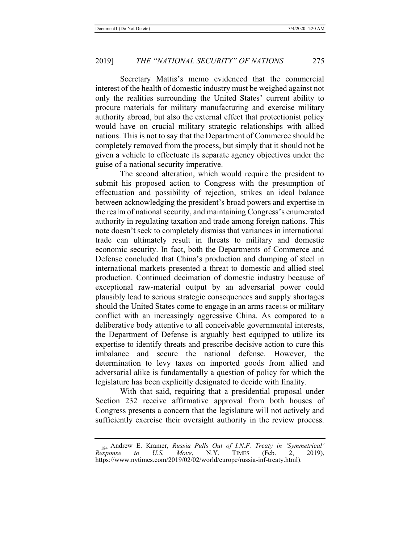Secretary Mattis's memo evidenced that the commercial interest of the health of domestic industry must be weighed against not only the realities surrounding the United States' current ability to procure materials for military manufacturing and exercise military authority abroad, but also the external effect that protectionist policy would have on crucial military strategic relationships with allied nations. This is not to say that the Department of Commerce should be completely removed from the process, but simply that it should not be given a vehicle to effectuate its separate agency objectives under the guise of a national security imperative.

The second alteration, which would require the president to submit his proposed action to Congress with the presumption of effectuation and possibility of rejection, strikes an ideal balance between acknowledging the president's broad powers and expertise in the realm of national security, and maintaining Congress's enumerated authority in regulating taxation and trade among foreign nations. This note doesn't seek to completely dismiss that variances in international trade can ultimately result in threats to military and domestic economic security. In fact, both the Departments of Commerce and Defense concluded that China's production and dumping of steel in international markets presented a threat to domestic and allied steel production. Continued decimation of domestic industry because of exceptional raw-material output by an adversarial power could plausibly lead to serious strategic consequences and supply shortages should the United States come to engage in an arms race184 or military conflict with an increasingly aggressive China. As compared to a deliberative body attentive to all conceivable governmental interests, the Department of Defense is arguably best equipped to utilize its expertise to identify threats and prescribe decisive action to cure this imbalance and secure the national defense. However, the determination to levy taxes on imported goods from allied and adversarial alike is fundamentally a question of policy for which the legislature has been explicitly designated to decide with finality.

With that said, requiring that a presidential proposal under Section 232 receive affirmative approval from both houses of Congress presents a concern that the legislature will not actively and sufficiently exercise their oversight authority in the review process.

<sup>184</sup> Andrew E. Kramer, *Russia Pulls Out of I.N.F. Treaty in 'Symmetrical' Response to U.S. Move*, N.Y. TIMES (Feb. 2, 2019), https://www.nytimes.com/2019/02/02/world/europe/russia-inf-treaty.html).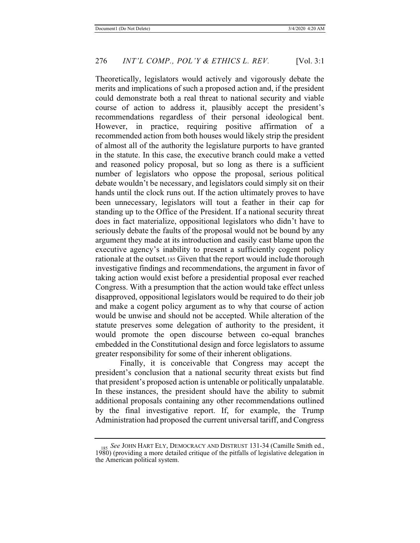Theoretically, legislators would actively and vigorously debate the merits and implications of such a proposed action and, if the president could demonstrate both a real threat to national security and viable course of action to address it, plausibly accept the president's recommendations regardless of their personal ideological bent. However, in practice, requiring positive affirmation of a recommended action from both houses would likely strip the president of almost all of the authority the legislature purports to have granted in the statute. In this case, the executive branch could make a vetted and reasoned policy proposal, but so long as there is a sufficient number of legislators who oppose the proposal, serious political debate wouldn't be necessary, and legislators could simply sit on their hands until the clock runs out. If the action ultimately proves to have been unnecessary, legislators will tout a feather in their cap for standing up to the Office of the President. If a national security threat does in fact materialize, oppositional legislators who didn't have to seriously debate the faults of the proposal would not be bound by any argument they made at its introduction and easily cast blame upon the executive agency's inability to present a sufficiently cogent policy rationale at the outset.185 Given that the report would include thorough investigative findings and recommendations, the argument in favor of taking action would exist before a presidential proposal ever reached Congress. With a presumption that the action would take effect unless disapproved, oppositional legislators would be required to do their job and make a cogent policy argument as to why that course of action would be unwise and should not be accepted. While alteration of the statute preserves some delegation of authority to the president, it would promote the open discourse between co-equal branches embedded in the Constitutional design and force legislators to assume greater responsibility for some of their inherent obligations.

Finally, it is conceivable that Congress may accept the president's conclusion that a national security threat exists but find that president's proposed action is untenable or politically unpalatable. In these instances, the president should have the ability to submit additional proposals containing any other recommendations outlined by the final investigative report. If, for example, the Trump Administration had proposed the current universal tariff, and Congress

<sup>185</sup> *See* JOHN HART ELY, DEMOCRACY AND DISTRUST 131-34 (Camille Smith ed., 1980) (providing a more detailed critique of the pitfalls of legislative delegation in the American political system.